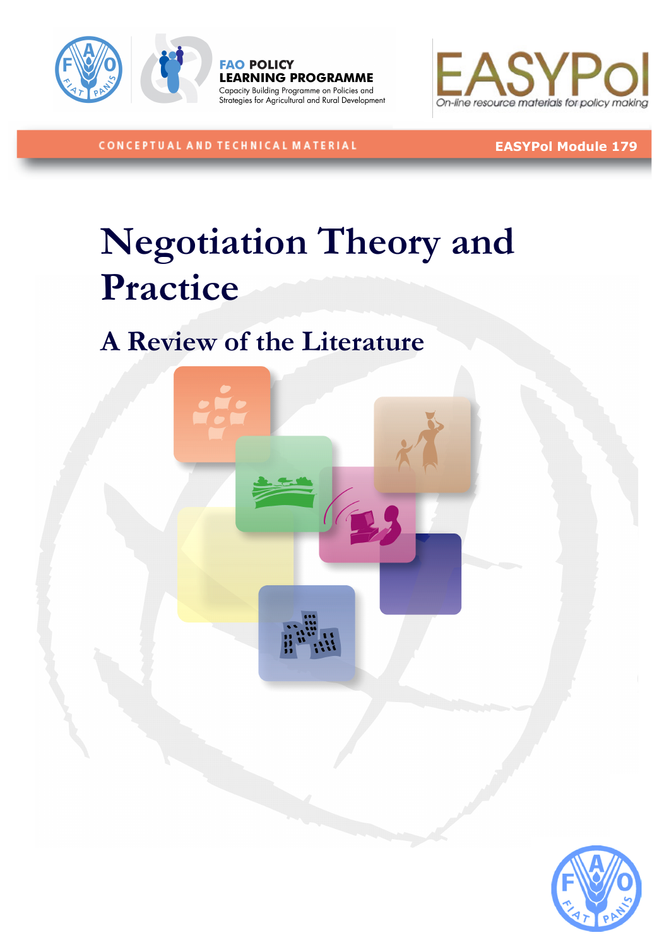





CONCEPTUAL AND TECHNICAL MATERIAL

# EASYPol Module 179

# Negotiation Theory and Practice

# A Review of the Literature



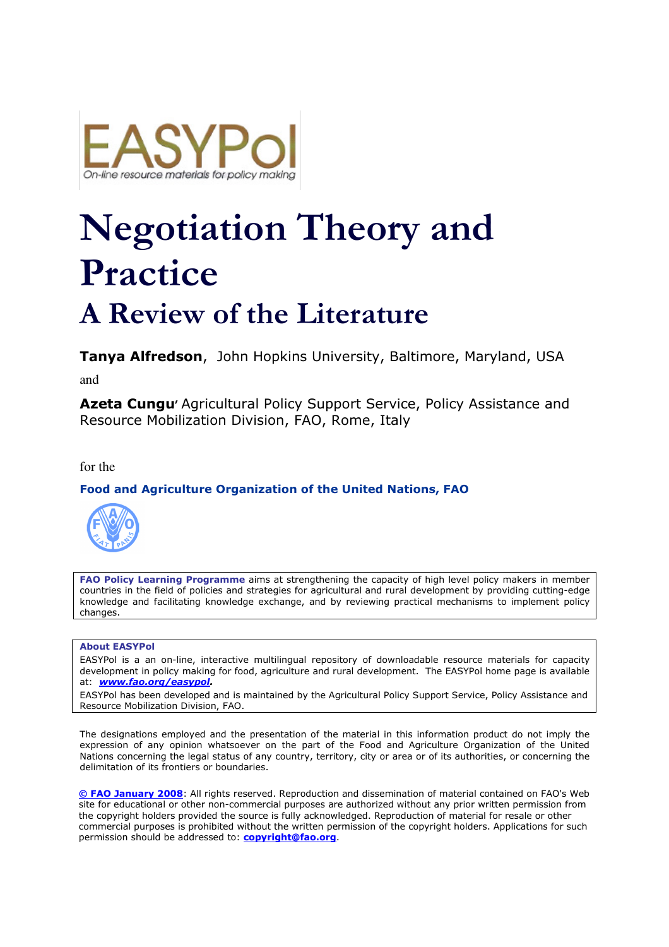

# Negotiation Theory and Practice

# A Review of the Literature

Tanva Alfredson, John Hopkins University, Baltimore, Maryland, USA

and

Azeta Cungu<sup>'</sup> Agricultural Policy Support Service, Policy Assistance and Resource Mobilization Division, FAO, Rome, Italy

#### for the

#### Food and Agriculture Organization of the United Nations, FAO



FAO Policy Learning Programme aims at strengthening the capacity of high level policy makers in member countries in the field of policies and strategies for agricultural and rural development by providing cutting-edge knowledge and facilitating knowledge exchange, and by reviewing practical mechanisms to implement policy changes.

#### About EASYPol

EASYPol is a an on-line, interactive multilingual repository of downloadable resource materials for capacity development in policy making for food, agriculture and rural development. The EASYPol home page is available at: **www.fao.org/easypol.** 

EASYPol has been developed and is maintained by the Agricultural Policy Support Service, Policy Assistance and Resource Mobilization Division, FAO.

The designations employed and the presentation of the material in this information product do not imply the expression of any opinion whatsoever on the part of the Food and Agriculture Organization of the United Nations concerning the legal status of any country, territory, city or area or of its authorities, or concerning the delimitation of its frontiers or boundaries.

© FAO January 2008: All rights reserved. Reproduction and dissemination of material contained on FAO's Web site for educational or other non-commercial purposes are authorized without any prior written permission from the copyright holders provided the source is fully acknowledged. Reproduction of material for resale or other commercial purposes is prohibited without the written permission of the copyright holders. Applications for such permission should be addressed to: **copyright@fao.org**.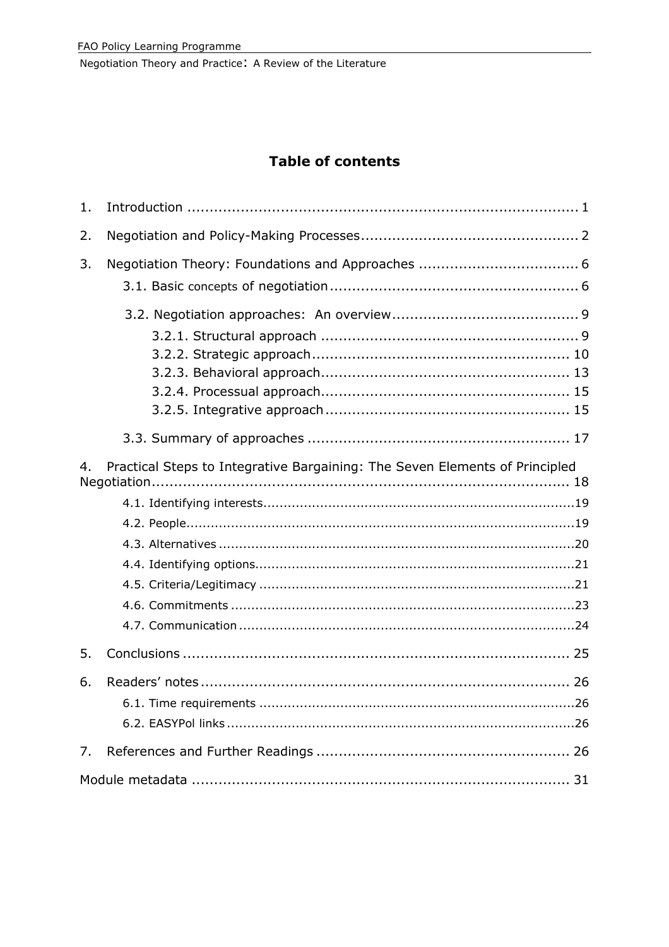# **Table of contents**

| 1.                                                                                |  |  |  |
|-----------------------------------------------------------------------------------|--|--|--|
| 2.                                                                                |  |  |  |
| 3.                                                                                |  |  |  |
|                                                                                   |  |  |  |
|                                                                                   |  |  |  |
| Practical Steps to Integrative Bargaining: The Seven Elements of Principled<br>4. |  |  |  |
|                                                                                   |  |  |  |
|                                                                                   |  |  |  |
|                                                                                   |  |  |  |
|                                                                                   |  |  |  |
|                                                                                   |  |  |  |
|                                                                                   |  |  |  |
|                                                                                   |  |  |  |
| 5.                                                                                |  |  |  |
| 6.                                                                                |  |  |  |
|                                                                                   |  |  |  |
| 7.                                                                                |  |  |  |
|                                                                                   |  |  |  |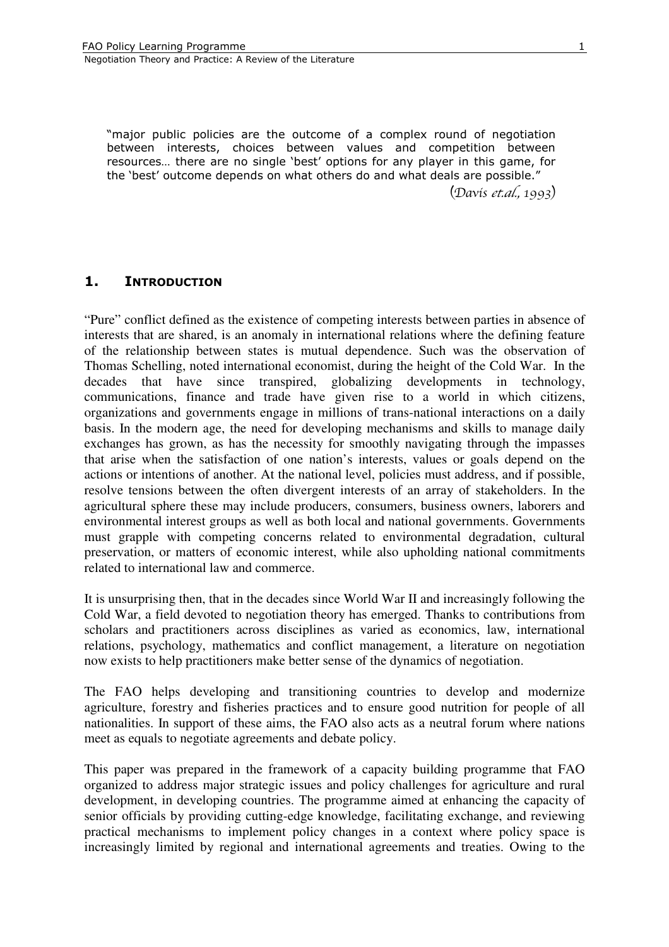1

"major public policies are the outcome of a complex round of negotiation between interests, choices between values and competition between resources… there are no single 'best' options for any player in this game, for the 'best' outcome depends on what others do and what deals are possible."

 $(Davis et al., 1993)$ 

# 1. INTRODUCTION

"Pure" conflict defined as the existence of competing interests between parties in absence of interests that are shared, is an anomaly in international relations where the defining feature of the relationship between states is mutual dependence. Such was the observation of Thomas Schelling, noted international economist, during the height of the Cold War. In the decades that have since transpired, globalizing developments in technology, communications, finance and trade have given rise to a world in which citizens, organizations and governments engage in millions of trans-national interactions on a daily basis. In the modern age, the need for developing mechanisms and skills to manage daily exchanges has grown, as has the necessity for smoothly navigating through the impasses that arise when the satisfaction of one nation's interests, values or goals depend on the actions or intentions of another. At the national level, policies must address, and if possible, resolve tensions between the often divergent interests of an array of stakeholders. In the agricultural sphere these may include producers, consumers, business owners, laborers and environmental interest groups as well as both local and national governments. Governments must grapple with competing concerns related to environmental degradation, cultural preservation, or matters of economic interest, while also upholding national commitments related to international law and commerce.

It is unsurprising then, that in the decades since World War II and increasingly following the Cold War, a field devoted to negotiation theory has emerged. Thanks to contributions from scholars and practitioners across disciplines as varied as economics, law, international relations, psychology, mathematics and conflict management, a literature on negotiation now exists to help practitioners make better sense of the dynamics of negotiation.

The FAO helps developing and transitioning countries to develop and modernize agriculture, forestry and fisheries practices and to ensure good nutrition for people of all nationalities. In support of these aims, the FAO also acts as a neutral forum where nations meet as equals to negotiate agreements and debate policy.

This paper was prepared in the framework of a capacity building programme that FAO organized to address major strategic issues and policy challenges for agriculture and rural development, in developing countries. The programme aimed at enhancing the capacity of senior officials by providing cutting-edge knowledge, facilitating exchange, and reviewing practical mechanisms to implement policy changes in a context where policy space is increasingly limited by regional and international agreements and treaties. Owing to the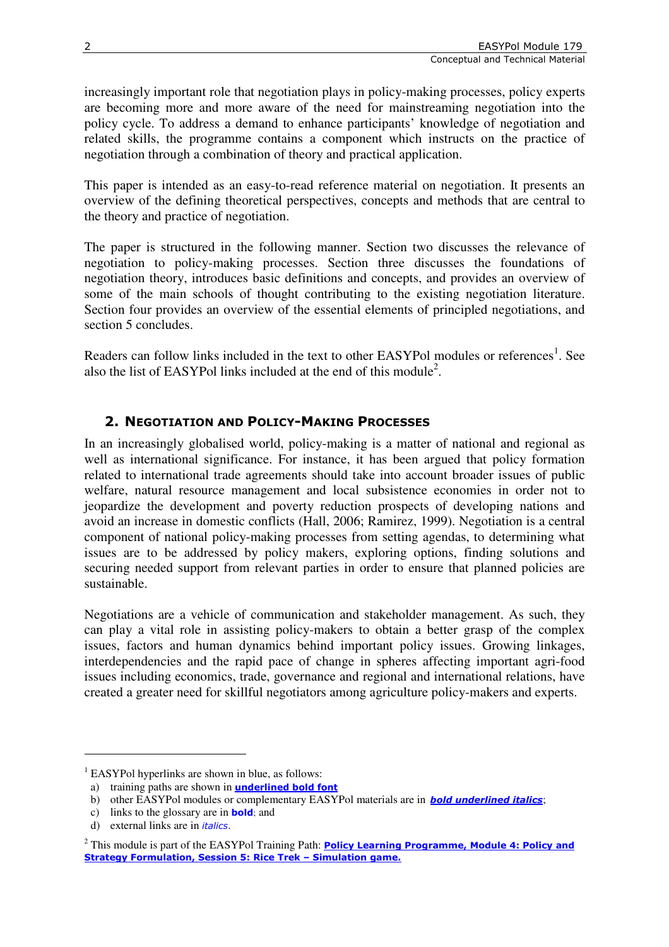increasingly important role that negotiation plays in policy-making processes, policy experts are becoming more and more aware of the need for mainstreaming negotiation into the policy cycle. To address a demand to enhance participants' knowledge of negotiation and related skills, the programme contains a component which instructs on the practice of negotiation through a combination of theory and practical application.

This paper is intended as an easy-to-read reference material on negotiation. It presents an overview of the defining theoretical perspectives, concepts and methods that are central to the theory and practice of negotiation.

The paper is structured in the following manner. Section two discusses the relevance of negotiation to policy-making processes. Section three discusses the foundations of negotiation theory, introduces basic definitions and concepts, and provides an overview of some of the main schools of thought contributing to the existing negotiation literature. Section four provides an overview of the essential elements of principled negotiations, and section 5 concludes.

Readers can follow links included in the text to other EASYPol modules or references<sup>1</sup>. See also the list of EASYPol links included at the end of this module<sup>2</sup>.

# 2. NEGOTIATION AND POLICY-MAKING PROCESSES

In an increasingly globalised world, policy-making is a matter of national and regional as well as international significance. For instance, it has been argued that policy formation related to international trade agreements should take into account broader issues of public welfare, natural resource management and local subsistence economies in order not to jeopardize the development and poverty reduction prospects of developing nations and avoid an increase in domestic conflicts (Hall, 2006; Ramirez, 1999). Negotiation is a central component of national policy-making processes from setting agendas, to determining what issues are to be addressed by policy makers, exploring options, finding solutions and securing needed support from relevant parties in order to ensure that planned policies are sustainable.

Negotiations are a vehicle of communication and stakeholder management. As such, they can play a vital role in assisting policy-makers to obtain a better grasp of the complex issues, factors and human dynamics behind important policy issues. Growing linkages, interdependencies and the rapid pace of change in spheres affecting important agri-food issues including economics, trade, governance and regional and international relations, have created a greater need for skillful negotiators among agriculture policy-makers and experts.

 $\overline{a}$ 

<sup>&</sup>lt;sup>1</sup> EASYPol hyperlinks are shown in blue, as follows:

a) training paths are shown in **underlined bold font** 

b) other EASYPol modules or complementary EASYPol materials are in **bold underlined italics**;

c) links to the glossary are in bold; and

d) external links are in *italics*.

<sup>&</sup>lt;sup>2</sup> This module is part of the EASYPol Training Path: **Policy Learning Programme, Module 4: Policy and** Strategy Formulation, Session 5: Rice Trek – Simulation game.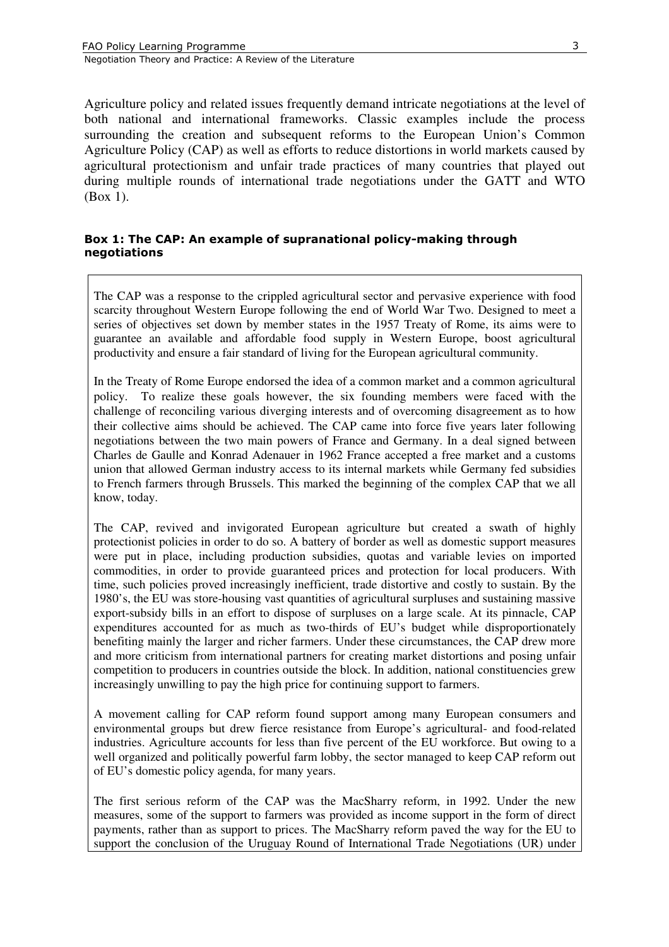Agriculture policy and related issues frequently demand intricate negotiations at the level of both national and international frameworks. Classic examples include the process surrounding the creation and subsequent reforms to the European Union's Common Agriculture Policy (CAP) as well as efforts to reduce distortions in world markets caused by agricultural protectionism and unfair trade practices of many countries that played out during multiple rounds of international trade negotiations under the GATT and WTO (Box 1).

#### Box 1: The CAP: An example of supranational policy-making through negotiations

The CAP was a response to the crippled agricultural sector and pervasive experience with food scarcity throughout Western Europe following the end of World War Two. Designed to meet a series of objectives set down by member states in the 1957 Treaty of Rome, its aims were to guarantee an available and affordable food supply in Western Europe, boost agricultural productivity and ensure a fair standard of living for the European agricultural community.

In the Treaty of Rome Europe endorsed the idea of a common market and a common agricultural policy. To realize these goals however, the six founding members were faced with the challenge of reconciling various diverging interests and of overcoming disagreement as to how their collective aims should be achieved. The CAP came into force five years later following negotiations between the two main powers of France and Germany. In a deal signed between Charles de Gaulle and Konrad Adenauer in 1962 France accepted a free market and a customs union that allowed German industry access to its internal markets while Germany fed subsidies to French farmers through Brussels. This marked the beginning of the complex CAP that we all know, today.

The CAP, revived and invigorated European agriculture but created a swath of highly protectionist policies in order to do so. A battery of border as well as domestic support measures were put in place, including production subsidies, quotas and variable levies on imported commodities, in order to provide guaranteed prices and protection for local producers. With time, such policies proved increasingly inefficient, trade distortive and costly to sustain. By the 1980's, the EU was store-housing vast quantities of agricultural surpluses and sustaining massive export-subsidy bills in an effort to dispose of surpluses on a large scale. At its pinnacle, CAP expenditures accounted for as much as two-thirds of EU's budget while disproportionately benefiting mainly the larger and richer farmers. Under these circumstances, the CAP drew more and more criticism from international partners for creating market distortions and posing unfair competition to producers in countries outside the block. In addition, national constituencies grew increasingly unwilling to pay the high price for continuing support to farmers.

A movement calling for CAP reform found support among many European consumers and environmental groups but drew fierce resistance from Europe's agricultural- and food-related industries. Agriculture accounts for less than five percent of the EU workforce. But owing to a well organized and politically powerful farm lobby, the sector managed to keep CAP reform out of EU's domestic policy agenda, for many years.

The first serious reform of the CAP was the MacSharry reform, in 1992. Under the new measures, some of the support to farmers was provided as income support in the form of direct payments, rather than as support to prices. The MacSharry reform paved the way for the EU to support the conclusion of the Uruguay Round of International Trade Negotiations (UR) under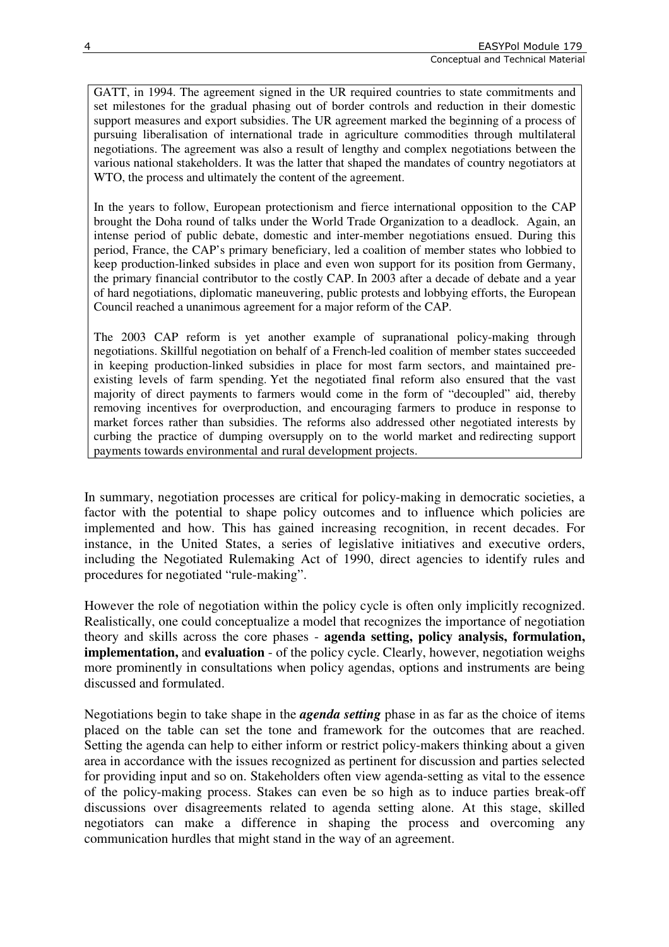GATT, in 1994. The agreement signed in the UR required countries to state commitments and set milestones for the gradual phasing out of border controls and reduction in their domestic support measures and export subsidies. The UR agreement marked the beginning of a process of pursuing liberalisation of international trade in agriculture commodities through multilateral negotiations. The agreement was also a result of lengthy and complex negotiations between the various national stakeholders. It was the latter that shaped the mandates of country negotiators at WTO, the process and ultimately the content of the agreement.

In the years to follow, European protectionism and fierce international opposition to the CAP brought the Doha round of talks under the World Trade Organization to a deadlock. Again, an intense period of public debate, domestic and inter-member negotiations ensued. During this period, France, the CAP's primary beneficiary, led a coalition of member states who lobbied to keep production-linked subsides in place and even won support for its position from Germany, the primary financial contributor to the costly CAP. In 2003 after a decade of debate and a year of hard negotiations, diplomatic maneuvering, public protests and lobbying efforts, the European Council reached a unanimous agreement for a major reform of the CAP.

The 2003 CAP reform is yet another example of supranational policy-making through negotiations. Skillful negotiation on behalf of a French-led coalition of member states succeeded in keeping production-linked subsidies in place for most farm sectors, and maintained preexisting levels of farm spending. Yet the negotiated final reform also ensured that the vast majority of direct payments to farmers would come in the form of "decoupled" aid, thereby removing incentives for overproduction, and encouraging farmers to produce in response to market forces rather than subsidies. The reforms also addressed other negotiated interests by curbing the practice of dumping oversupply on to the world market and redirecting support payments towards environmental and rural development projects.

In summary, negotiation processes are critical for policy-making in democratic societies, a factor with the potential to shape policy outcomes and to influence which policies are implemented and how. This has gained increasing recognition, in recent decades. For instance, in the United States, a series of legislative initiatives and executive orders, including the Negotiated Rulemaking Act of 1990, direct agencies to identify rules and procedures for negotiated "rule-making".

However the role of negotiation within the policy cycle is often only implicitly recognized. Realistically, one could conceptualize a model that recognizes the importance of negotiation theory and skills across the core phases - **agenda setting, policy analysis, formulation, implementation,** and **evaluation** - of the policy cycle. Clearly, however, negotiation weighs more prominently in consultations when policy agendas, options and instruments are being discussed and formulated.

Negotiations begin to take shape in the *agenda setting* phase in as far as the choice of items placed on the table can set the tone and framework for the outcomes that are reached. Setting the agenda can help to either inform or restrict policy-makers thinking about a given area in accordance with the issues recognized as pertinent for discussion and parties selected for providing input and so on. Stakeholders often view agenda-setting as vital to the essence of the policy-making process. Stakes can even be so high as to induce parties break-off discussions over disagreements related to agenda setting alone. At this stage, skilled negotiators can make a difference in shaping the process and overcoming any communication hurdles that might stand in the way of an agreement.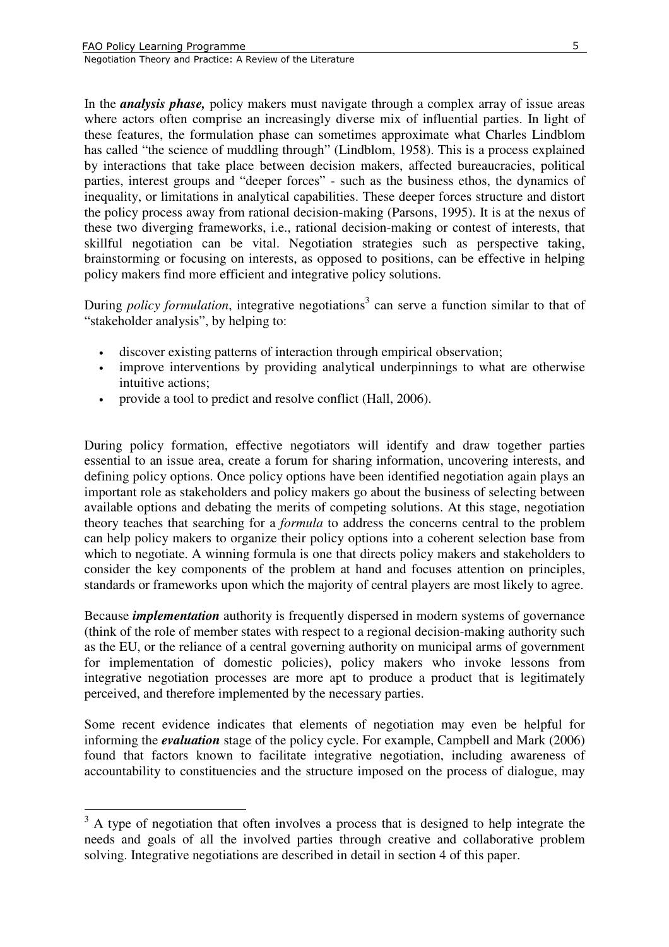$\overline{a}$ 

Negotiation Theory and Practice: A Review of the Literature

In the *analysis phase,* policy makers must navigate through a complex array of issue areas where actors often comprise an increasingly diverse mix of influential parties. In light of these features, the formulation phase can sometimes approximate what Charles Lindblom has called "the science of muddling through" (Lindblom, 1958). This is a process explained by interactions that take place between decision makers, affected bureaucracies, political parties, interest groups and "deeper forces" - such as the business ethos, the dynamics of inequality, or limitations in analytical capabilities. These deeper forces structure and distort the policy process away from rational decision-making (Parsons, 1995). It is at the nexus of these two diverging frameworks, i.e., rational decision-making or contest of interests, that skillful negotiation can be vital. Negotiation strategies such as perspective taking, brainstorming or focusing on interests, as opposed to positions, can be effective in helping policy makers find more efficient and integrative policy solutions.

During *policy formulation*, integrative negotiations<sup>3</sup> can serve a function similar to that of "stakeholder analysis", by helping to:

- discover existing patterns of interaction through empirical observation;
- improve interventions by providing analytical underpinnings to what are otherwise intuitive actions;
- provide a tool to predict and resolve conflict (Hall, 2006).

During policy formation, effective negotiators will identify and draw together parties essential to an issue area, create a forum for sharing information, uncovering interests, and defining policy options. Once policy options have been identified negotiation again plays an important role as stakeholders and policy makers go about the business of selecting between available options and debating the merits of competing solutions. At this stage, negotiation theory teaches that searching for a *formula* to address the concerns central to the problem can help policy makers to organize their policy options into a coherent selection base from which to negotiate. A winning formula is one that directs policy makers and stakeholders to consider the key components of the problem at hand and focuses attention on principles, standards or frameworks upon which the majority of central players are most likely to agree.

Because *implementation* authority is frequently dispersed in modern systems of governance (think of the role of member states with respect to a regional decision-making authority such as the EU, or the reliance of a central governing authority on municipal arms of government for implementation of domestic policies), policy makers who invoke lessons from integrative negotiation processes are more apt to produce a product that is legitimately perceived, and therefore implemented by the necessary parties.

Some recent evidence indicates that elements of negotiation may even be helpful for informing the *evaluation* stage of the policy cycle. For example, Campbell and Mark (2006) found that factors known to facilitate integrative negotiation, including awareness of accountability to constituencies and the structure imposed on the process of dialogue, may

 $3$  A type of negotiation that often involves a process that is designed to help integrate the needs and goals of all the involved parties through creative and collaborative problem solving. Integrative negotiations are described in detail in section 4 of this paper.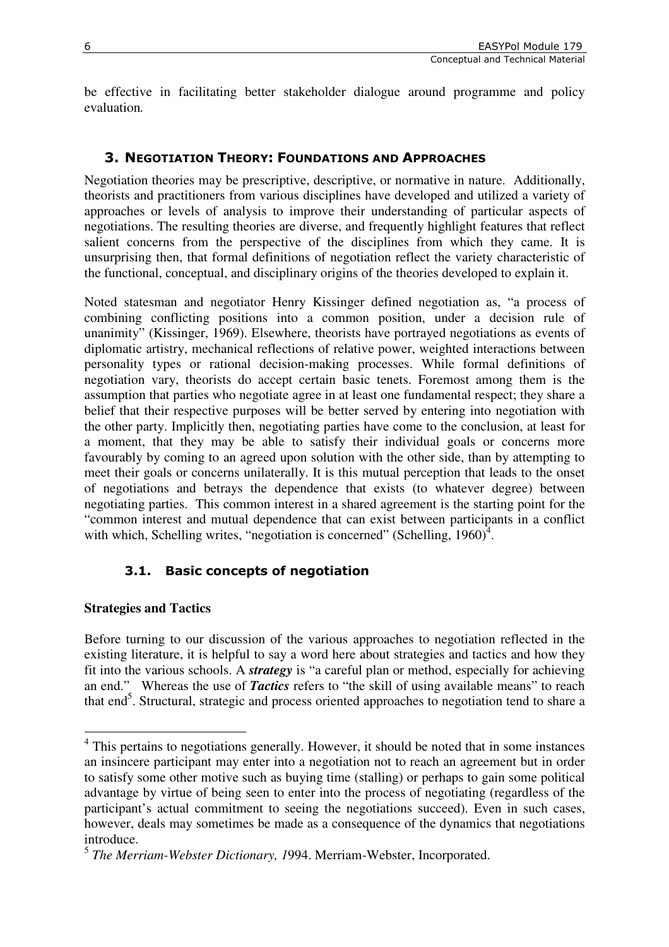be effective in facilitating better stakeholder dialogue around programme and policy evaluation*.*

# 3. NEGOTIATION THEORY: FOUNDATIONS AND APPROACHES

Negotiation theories may be prescriptive, descriptive, or normative in nature. Additionally, theorists and practitioners from various disciplines have developed and utilized a variety of approaches or levels of analysis to improve their understanding of particular aspects of negotiations. The resulting theories are diverse, and frequently highlight features that reflect salient concerns from the perspective of the disciplines from which they came. It is unsurprising then, that formal definitions of negotiation reflect the variety characteristic of the functional, conceptual, and disciplinary origins of the theories developed to explain it.

Noted statesman and negotiator Henry Kissinger defined negotiation as, "a process of combining conflicting positions into a common position, under a decision rule of unanimity" (Kissinger, 1969). Elsewhere, theorists have portrayed negotiations as events of diplomatic artistry, mechanical reflections of relative power, weighted interactions between personality types or rational decision-making processes. While formal definitions of negotiation vary, theorists do accept certain basic tenets. Foremost among them is the assumption that parties who negotiate agree in at least one fundamental respect; they share a belief that their respective purposes will be better served by entering into negotiation with the other party. Implicitly then, negotiating parties have come to the conclusion, at least for a moment, that they may be able to satisfy their individual goals or concerns more favourably by coming to an agreed upon solution with the other side, than by attempting to meet their goals or concerns unilaterally. It is this mutual perception that leads to the onset of negotiations and betrays the dependence that exists (to whatever degree) between negotiating parties. This common interest in a shared agreement is the starting point for the "common interest and mutual dependence that can exist between participants in a conflict with which, Schelling writes, "negotiation is concerned" (Schelling,  $1960$ <sup>3</sup>.

# 3.1. Basic concepts of negotiation

# **Strategies and Tactics**

 $\overline{a}$ 

Before turning to our discussion of the various approaches to negotiation reflected in the existing literature, it is helpful to say a word here about strategies and tactics and how they fit into the various schools. A *strategy* is "a careful plan or method, especially for achieving an end." Whereas the use of *Tactics* refers to "the skill of using available means" to reach that end<sup>5</sup>. Structural, strategic and process oriented approaches to negotiation tend to share a

<sup>&</sup>lt;sup>4</sup> This pertains to negotiations generally. However, it should be noted that in some instances an insincere participant may enter into a negotiation not to reach an agreement but in order to satisfy some other motive such as buying time (stalling) or perhaps to gain some political advantage by virtue of being seen to enter into the process of negotiating (regardless of the participant's actual commitment to seeing the negotiations succeed). Even in such cases, however, deals may sometimes be made as a consequence of the dynamics that negotiations introduce.

<sup>5</sup> *The Merriam-Webster Dictionary, 1*994. Merriam-Webster, Incorporated.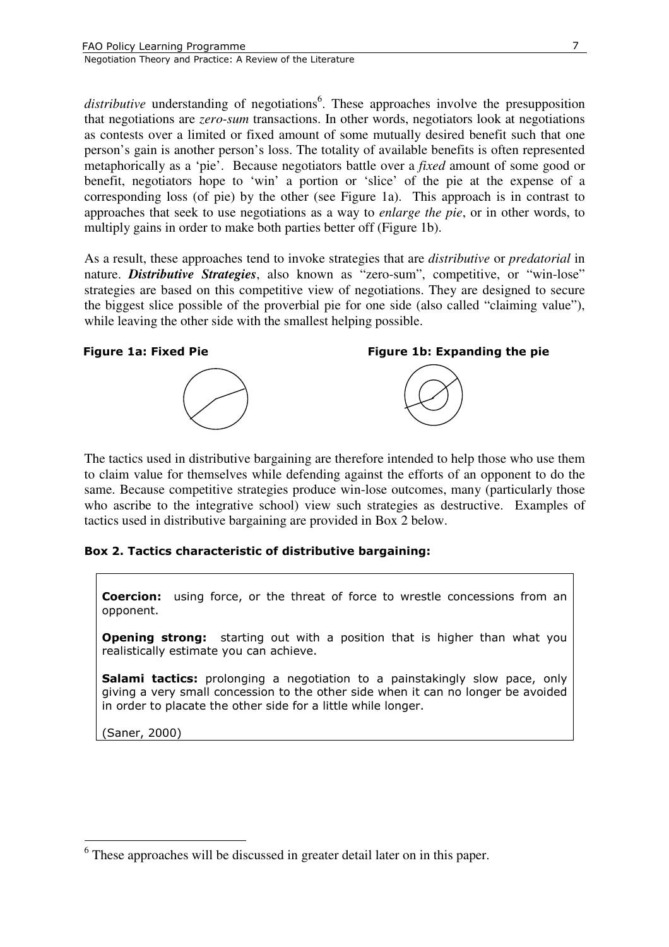distributive understanding of negotiations<sup>6</sup>. These approaches involve the presupposition that negotiations are *zero-sum* transactions. In other words, negotiators look at negotiations as contests over a limited or fixed amount of some mutually desired benefit such that one person's gain is another person's loss. The totality of available benefits is often represented metaphorically as a 'pie'. Because negotiators battle over a *fixed* amount of some good or benefit, negotiators hope to 'win' a portion or 'slice' of the pie at the expense of a corresponding loss (of pie) by the other (see Figure 1a). This approach is in contrast to approaches that seek to use negotiations as a way to *enlarge the pie*, or in other words, to multiply gains in order to make both parties better off (Figure 1b).

As a result, these approaches tend to invoke strategies that are *distributive* or *predatorial* in nature. *Distributive Strategies*, also known as "zero-sum", competitive, or "win-lose" strategies are based on this competitive view of negotiations. They are designed to secure the biggest slice possible of the proverbial pie for one side (also called "claiming value"), while leaving the other side with the smallest helping possible.

#### Figure 1a: Fixed Pie Figure 1b: Expanding the pie





The tactics used in distributive bargaining are therefore intended to help those who use them to claim value for themselves while defending against the efforts of an opponent to do the same. Because competitive strategies produce win-lose outcomes, many (particularly those who ascribe to the integrative school) view such strategies as destructive. Examples of tactics used in distributive bargaining are provided in Box 2 below.

#### Box 2. Tactics characteristic of distributive bargaining:

Coercion: using force, or the threat of force to wrestle concessions from an opponent.

**Opening strong:** starting out with a position that is higher than what you realistically estimate you can achieve.

Salami tactics: prolonging a negotiation to a painstakingly slow pace, only giving a very small concession to the other side when it can no longer be avoided in order to placate the other side for a little while longer.

(Saner, 2000)

 $\overline{a}$ 

<sup>&</sup>lt;sup>6</sup> These approaches will be discussed in greater detail later on in this paper.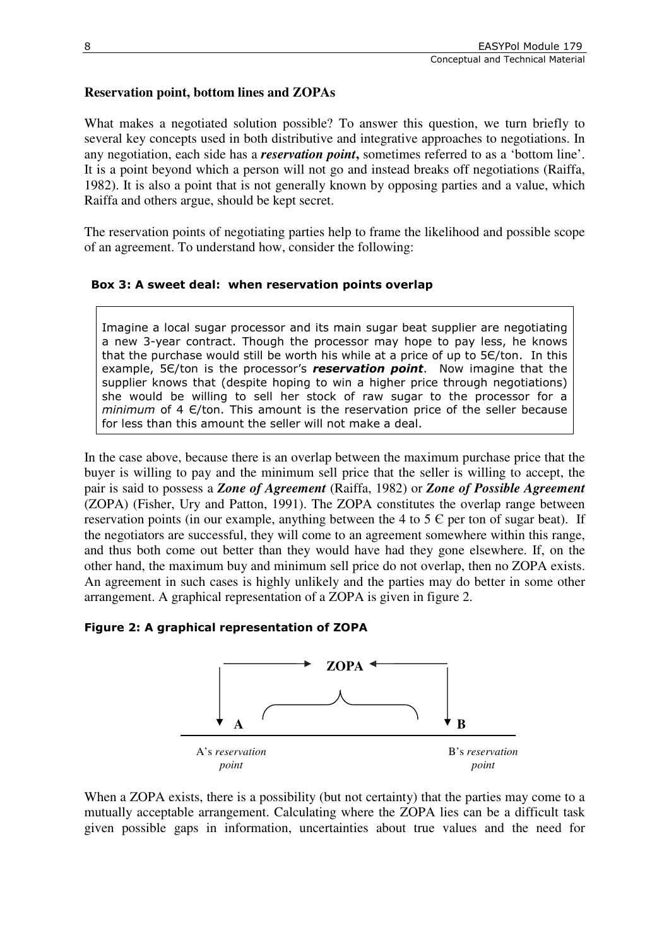# **Reservation point, bottom lines and ZOPAs**

What makes a negotiated solution possible? To answer this question, we turn briefly to several key concepts used in both distributive and integrative approaches to negotiations. In any negotiation, each side has a *reservation point***,** sometimes referred to as a 'bottom line'. It is a point beyond which a person will not go and instead breaks off negotiations (Raiffa, 1982). It is also a point that is not generally known by opposing parties and a value, which Raiffa and others argue, should be kept secret.

The reservation points of negotiating parties help to frame the likelihood and possible scope of an agreement. To understand how, consider the following:

#### Box 3: A sweet deal: when reservation points overlap

Imagine a local sugar processor and its main sugar beat supplier are negotiating a new 3-year contract. Though the processor may hope to pay less, he knows that the purchase would still be worth his while at a price of up to 5Є/ton. In this example, 5 $\epsilon$ /ton is the processor's **reservation point**. Now imagine that the supplier knows that (despite hoping to win a higher price through negotiations) she would be willing to sell her stock of raw sugar to the processor for a  $minimum$  of 4  $E/ton$ . This amount is the reservation price of the seller because for less than this amount the seller will not make a deal.

In the case above, because there is an overlap between the maximum purchase price that the buyer is willing to pay and the minimum sell price that the seller is willing to accept, the pair is said to possess a *Zone of Agreement* (Raiffa, 1982) or *Zone of Possible Agreement* (ZOPA) (Fisher, Ury and Patton, 1991). The ZOPA constitutes the overlap range between reservation points (in our example, anything between the 4 to 5  $\epsilon$  per ton of sugar beat). If the negotiators are successful, they will come to an agreement somewhere within this range, and thus both come out better than they would have had they gone elsewhere. If, on the other hand, the maximum buy and minimum sell price do not overlap, then no ZOPA exists. An agreement in such cases is highly unlikely and the parties may do better in some other arrangement. A graphical representation of a ZOPA is given in figure 2.

#### Figure 2: A graphical representation of ZOPA



When a ZOPA exists, there is a possibility (but not certainty) that the parties may come to a mutually acceptable arrangement. Calculating where the ZOPA lies can be a difficult task given possible gaps in information, uncertainties about true values and the need for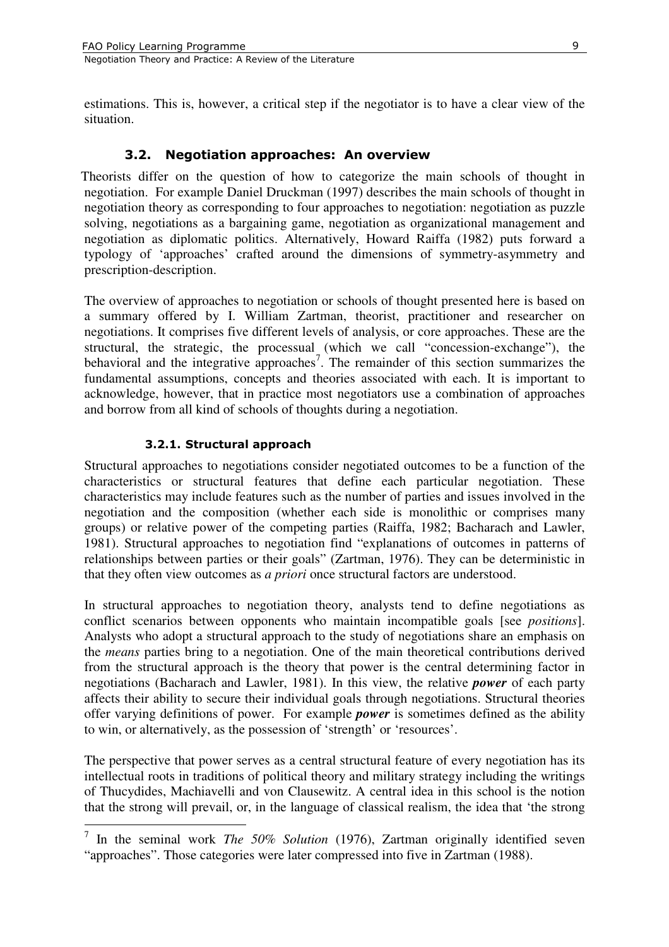estimations. This is, however, a critical step if the negotiator is to have a clear view of the situation.

# 3.2. Negotiation approaches: An overview

Theorists differ on the question of how to categorize the main schools of thought in negotiation. For example Daniel Druckman (1997) describes the main schools of thought in negotiation theory as corresponding to four approaches to negotiation: negotiation as puzzle solving, negotiations as a bargaining game, negotiation as organizational management and negotiation as diplomatic politics. Alternatively, Howard Raiffa (1982) puts forward a typology of 'approaches' crafted around the dimensions of symmetry-asymmetry and prescription-description.

The overview of approaches to negotiation or schools of thought presented here is based on a summary offered by I. William Zartman, theorist, practitioner and researcher on negotiations. It comprises five different levels of analysis, or core approaches. These are the structural, the strategic, the processual (which we call "concession-exchange"), the behavioral and the integrative approaches<sup>7</sup>. The remainder of this section summarizes the fundamental assumptions, concepts and theories associated with each. It is important to acknowledge, however, that in practice most negotiators use a combination of approaches and borrow from all kind of schools of thoughts during a negotiation.

#### 3.2.1. Structural approach

Structural approaches to negotiations consider negotiated outcomes to be a function of the characteristics or structural features that define each particular negotiation. These characteristics may include features such as the number of parties and issues involved in the negotiation and the composition (whether each side is monolithic or comprises many groups) or relative power of the competing parties (Raiffa, 1982; Bacharach and Lawler, 1981). Structural approaches to negotiation find "explanations of outcomes in patterns of relationships between parties or their goals" (Zartman, 1976). They can be deterministic in that they often view outcomes as *a priori* once structural factors are understood.

In structural approaches to negotiation theory, analysts tend to define negotiations as conflict scenarios between opponents who maintain incompatible goals [see *positions*]. Analysts who adopt a structural approach to the study of negotiations share an emphasis on the *means* parties bring to a negotiation. One of the main theoretical contributions derived from the structural approach is the theory that power is the central determining factor in negotiations (Bacharach and Lawler, 1981). In this view, the relative *power* of each party affects their ability to secure their individual goals through negotiations. Structural theories offer varying definitions of power. For example *power* is sometimes defined as the ability to win, or alternatively, as the possession of 'strength' or 'resources'.

The perspective that power serves as a central structural feature of every negotiation has its intellectual roots in traditions of political theory and military strategy including the writings of Thucydides, Machiavelli and von Clausewitz. A central idea in this school is the notion that the strong will prevail, or, in the language of classical realism, the idea that 'the strong

<sup>&</sup>lt;sup>7</sup> In the seminal work *The 50% Solution* (1976), Zartman originally identified seven "approaches". Those categories were later compressed into five in Zartman (1988).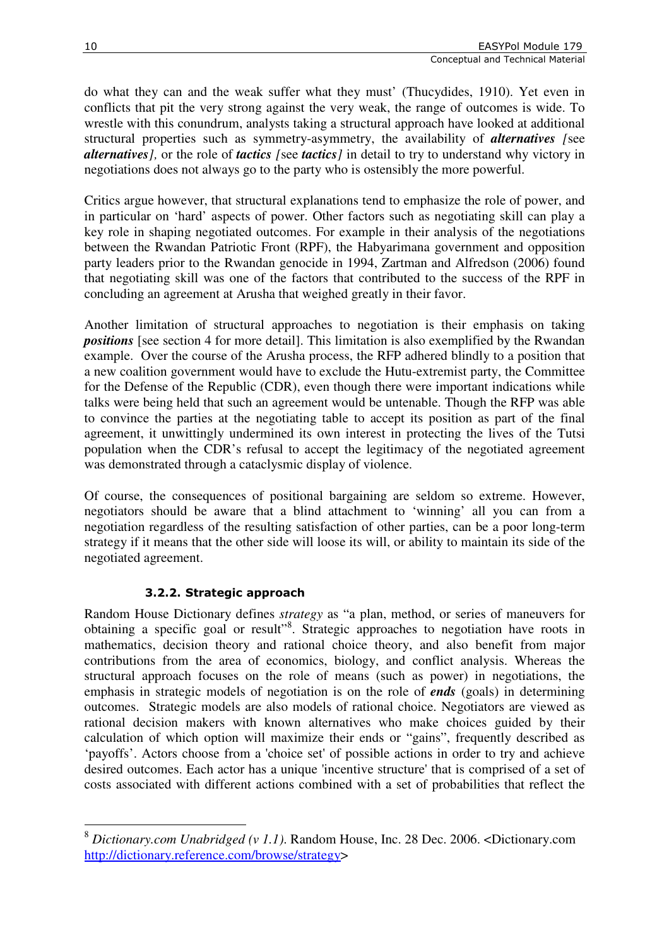do what they can and the weak suffer what they must' (Thucydides, 1910). Yet even in conflicts that pit the very strong against the very weak, the range of outcomes is wide. To wrestle with this conundrum, analysts taking a structural approach have looked at additional structural properties such as symmetry-asymmetry, the availability of *alternatives [*see *alternatives],* or the role of *tactics [*see *tactics]* in detail to try to understand why victory in negotiations does not always go to the party who is ostensibly the more powerful.

Critics argue however, that structural explanations tend to emphasize the role of power, and in particular on 'hard' aspects of power. Other factors such as negotiating skill can play a key role in shaping negotiated outcomes. For example in their analysis of the negotiations between the Rwandan Patriotic Front (RPF), the Habyarimana government and opposition party leaders prior to the Rwandan genocide in 1994, Zartman and Alfredson (2006) found that negotiating skill was one of the factors that contributed to the success of the RPF in concluding an agreement at Arusha that weighed greatly in their favor.

Another limitation of structural approaches to negotiation is their emphasis on taking *positions* [see section 4 for more detail]. This limitation is also exemplified by the Rwandan example. Over the course of the Arusha process, the RFP adhered blindly to a position that a new coalition government would have to exclude the Hutu-extremist party, the Committee for the Defense of the Republic (CDR), even though there were important indications while talks were being held that such an agreement would be untenable. Though the RFP was able to convince the parties at the negotiating table to accept its position as part of the final agreement, it unwittingly undermined its own interest in protecting the lives of the Tutsi population when the CDR's refusal to accept the legitimacy of the negotiated agreement was demonstrated through a cataclysmic display of violence.

Of course, the consequences of positional bargaining are seldom so extreme. However, negotiators should be aware that a blind attachment to 'winning' all you can from a negotiation regardless of the resulting satisfaction of other parties, can be a poor long-term strategy if it means that the other side will loose its will, or ability to maintain its side of the negotiated agreement.

# 3.2.2. Strategic approach

Random House Dictionary defines *strategy* as "a plan, method, or series of maneuvers for obtaining a specific goal or result"<sup>8</sup>. Strategic approaches to negotiation have roots in mathematics, decision theory and rational choice theory, and also benefit from major contributions from the area of economics, biology, and conflict analysis. Whereas the structural approach focuses on the role of means (such as power) in negotiations, the emphasis in strategic models of negotiation is on the role of *ends* (goals) in determining outcomes. Strategic models are also models of rational choice. Negotiators are viewed as rational decision makers with known alternatives who make choices guided by their calculation of which option will maximize their ends or "gains", frequently described as 'payoffs'. Actors choose from a 'choice set' of possible actions in order to try and achieve desired outcomes. Each actor has a unique 'incentive structure' that is comprised of a set of costs associated with different actions combined with a set of probabilities that reflect the

 $\overline{a}$ <sup>8</sup> *Dictionary.com Unabridged (v 1.1)*. Random House, Inc. 28 Dec. 2006. <Dictionary.com http://dictionary.reference.com/browse/strategy>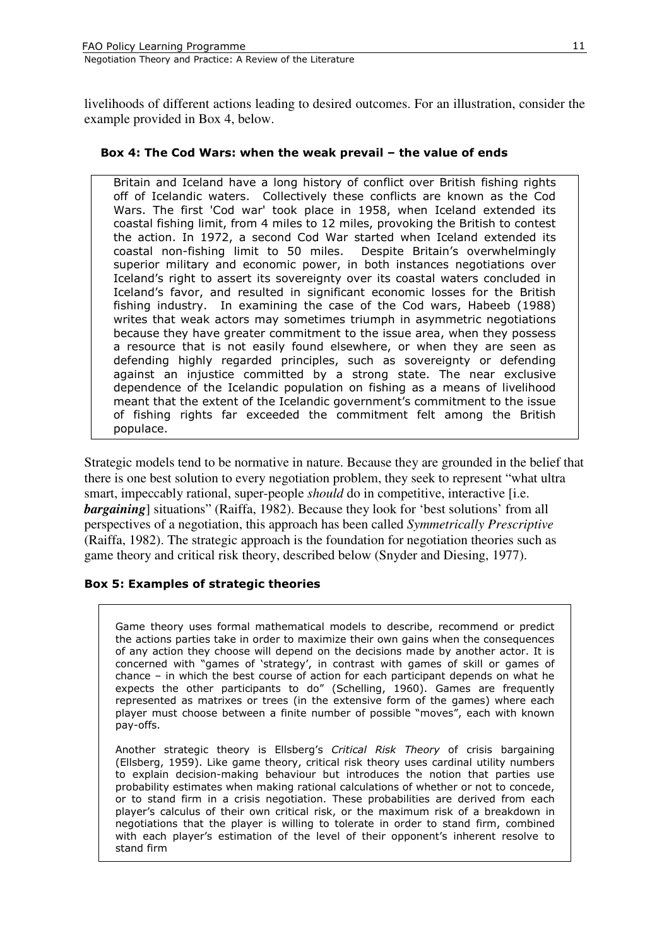livelihoods of different actions leading to desired outcomes. For an illustration, consider the example provided in Box 4, below.

#### Box 4: The Cod Wars: when the weak prevail – the value of ends

Britain and Iceland have a long history of conflict over British fishing rights off of Icelandic waters. Collectively these conflicts are known as the Cod Wars. The first 'Cod war' took place in 1958, when Iceland extended its coastal fishing limit, from 4 miles to 12 miles, provoking the British to contest the action. In 1972, a second Cod War started when Iceland extended its coastal non-fishing limit to 50 miles. Despite Britain's overwhelmingly superior military and economic power, in both instances negotiations over Iceland's right to assert its sovereignty over its coastal waters concluded in Iceland's favor, and resulted in significant economic losses for the British fishing industry. In examining the case of the Cod wars, Habeeb (1988) writes that weak actors may sometimes triumph in asymmetric negotiations because they have greater commitment to the issue area, when they possess a resource that is not easily found elsewhere, or when they are seen as defending highly regarded principles, such as sovereignty or defending against an injustice committed by a strong state. The near exclusive dependence of the Icelandic population on fishing as a means of livelihood meant that the extent of the Icelandic government's commitment to the issue of fishing rights far exceeded the commitment felt among the British populace.

Strategic models tend to be normative in nature. Because they are grounded in the belief that there is one best solution to every negotiation problem, they seek to represent "what ultra smart, impeccably rational, super-people *should* do in competitive, interactive [i.e. **bargaining** situations" (Raiffa, 1982). Because they look for 'best solutions' from all perspectives of a negotiation, this approach has been called *Symmetrically Prescriptive* (Raiffa, 1982). The strategic approach is the foundation for negotiation theories such as game theory and critical risk theory, described below (Snyder and Diesing, 1977).

#### Box 5: Examples of strategic theories

Game theory uses formal mathematical models to describe, recommend or predict the actions parties take in order to maximize their own gains when the consequences of any action they choose will depend on the decisions made by another actor. It is concerned with "games of 'strategy', in contrast with games of skill or games of chance – in which the best course of action for each participant depends on what he expects the other participants to do" (Schelling, 1960). Games are frequently represented as matrixes or trees (in the extensive form of the games) where each player must choose between a finite number of possible "moves", each with known pay-offs.

Another strategic theory is Ellsberg's Critical Risk Theory of crisis bargaining (Ellsberg, 1959). Like game theory, critical risk theory uses cardinal utility numbers to explain decision-making behaviour but introduces the notion that parties use probability estimates when making rational calculations of whether or not to concede, or to stand firm in a crisis negotiation. These probabilities are derived from each player's calculus of their own critical risk, or the maximum risk of a breakdown in negotiations that the player is willing to tolerate in order to stand firm, combined with each player's estimation of the level of their opponent's inherent resolve to stand firm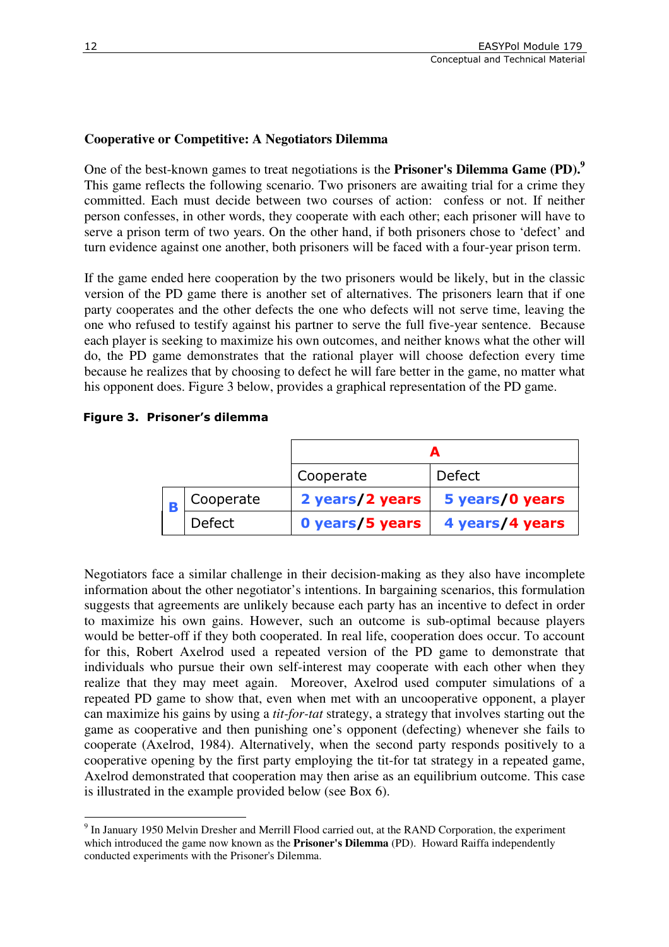## **Cooperative or Competitive: A Negotiators Dilemma**

One of the best-known games to treat negotiations is the **Prisoner's Dilemma Game (PD).<sup>9</sup>**  This game reflects the following scenario. Two prisoners are awaiting trial for a crime they committed. Each must decide between two courses of action: confess or not. If neither person confesses, in other words, they cooperate with each other; each prisoner will have to serve a prison term of two years. On the other hand, if both prisoners chose to 'defect' and turn evidence against one another, both prisoners will be faced with a four-year prison term.

If the game ended here cooperation by the two prisoners would be likely, but in the classic version of the PD game there is another set of alternatives. The prisoners learn that if one party cooperates and the other defects the one who defects will not serve time, leaving the one who refused to testify against his partner to serve the full five-year sentence. Because each player is seeking to maximize his own outcomes, and neither knows what the other will do, the PD game demonstrates that the rational player will choose defection every time because he realizes that by choosing to defect he will fare better in the game, no matter what his opponent does. Figure 3 below, provides a graphical representation of the PD game.

#### Figure 3. Prisoner's dilemma

|  |               | Cooperate       | <b>Defect</b>   |
|--|---------------|-----------------|-----------------|
|  | Cooperate     | 2 years/2 years | 5 years/0 years |
|  | <b>Defect</b> | 0 years/5 years | 4 years/4 years |

Negotiators face a similar challenge in their decision-making as they also have incomplete information about the other negotiator's intentions. In bargaining scenarios, this formulation suggests that agreements are unlikely because each party has an incentive to defect in order to maximize his own gains. However, such an outcome is sub-optimal because players would be better-off if they both cooperated. In real life, cooperation does occur. To account for this, Robert Axelrod used a repeated version of the PD game to demonstrate that individuals who pursue their own self-interest may cooperate with each other when they realize that they may meet again. Moreover, Axelrod used computer simulations of a repeated PD game to show that, even when met with an uncooperative opponent, a player can maximize his gains by using a *tit-for-tat* strategy, a strategy that involves starting out the game as cooperative and then punishing one's opponent (defecting) whenever she fails to cooperate (Axelrod, 1984). Alternatively, when the second party responds positively to a cooperative opening by the first party employing the tit-for tat strategy in a repeated game, Axelrod demonstrated that cooperation may then arise as an equilibrium outcome. This case is illustrated in the example provided below (see Box 6).

 $\overline{a}$ <sup>9</sup> In January 1950 Melvin Dresher and Merrill Flood carried out, at the RAND Corporation, the experiment which introduced the game now known as the **Prisoner's Dilemma** (PD). Howard Raiffa independently conducted experiments with the Prisoner's Dilemma.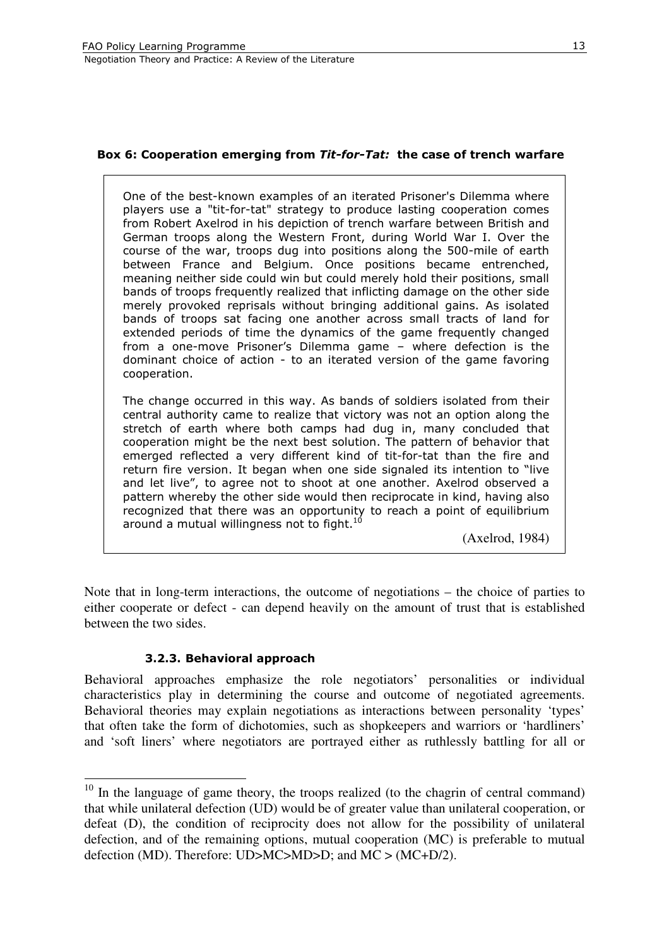#### Box 6: Cooperation emerging from Tit-for-Tat: the case of trench warfare

One of the best-known examples of an iterated Prisoner's Dilemma where players use a "tit-for-tat" strategy to produce lasting cooperation comes from Robert Axelrod in his depiction of trench warfare between British and German troops along the Western Front, during World War I. Over the course of the war, troops dug into positions along the 500-mile of earth between France and Belgium. Once positions became entrenched, meaning neither side could win but could merely hold their positions, small bands of troops frequently realized that inflicting damage on the other side merely provoked reprisals without bringing additional gains. As isolated bands of troops sat facing one another across small tracts of land for extended periods of time the dynamics of the game frequently changed from a one-move Prisoner's Dilemma game – where defection is the dominant choice of action - to an iterated version of the game favoring cooperation.

The change occurred in this way. As bands of soldiers isolated from their central authority came to realize that victory was not an option along the stretch of earth where both camps had dug in, many concluded that cooperation might be the next best solution. The pattern of behavior that emerged reflected a very different kind of tit-for-tat than the fire and return fire version. It began when one side signaled its intention to "live and let live", to agree not to shoot at one another. Axelrod observed a pattern whereby the other side would then reciprocate in kind, having also recognized that there was an opportunity to reach a point of equilibrium around a mutual willingness not to fight.<sup>10</sup>

(Axelrod, 1984)

Note that in long-term interactions, the outcome of negotiations – the choice of parties to either cooperate or defect - can depend heavily on the amount of trust that is established between the two sides.

#### 3.2.3. Behavioral approach

 $\overline{a}$ 

Behavioral approaches emphasize the role negotiators' personalities or individual characteristics play in determining the course and outcome of negotiated agreements. Behavioral theories may explain negotiations as interactions between personality 'types' that often take the form of dichotomies, such as shopkeepers and warriors or 'hardliners' and 'soft liners' where negotiators are portrayed either as ruthlessly battling for all or

 $10$  In the language of game theory, the troops realized (to the chagrin of central command) that while unilateral defection (UD) would be of greater value than unilateral cooperation, or defeat (D), the condition of reciprocity does not allow for the possibility of unilateral defection, and of the remaining options, mutual cooperation (MC) is preferable to mutual defection (MD). Therefore: UD>MC>MD>D; and MC > (MC+D/2).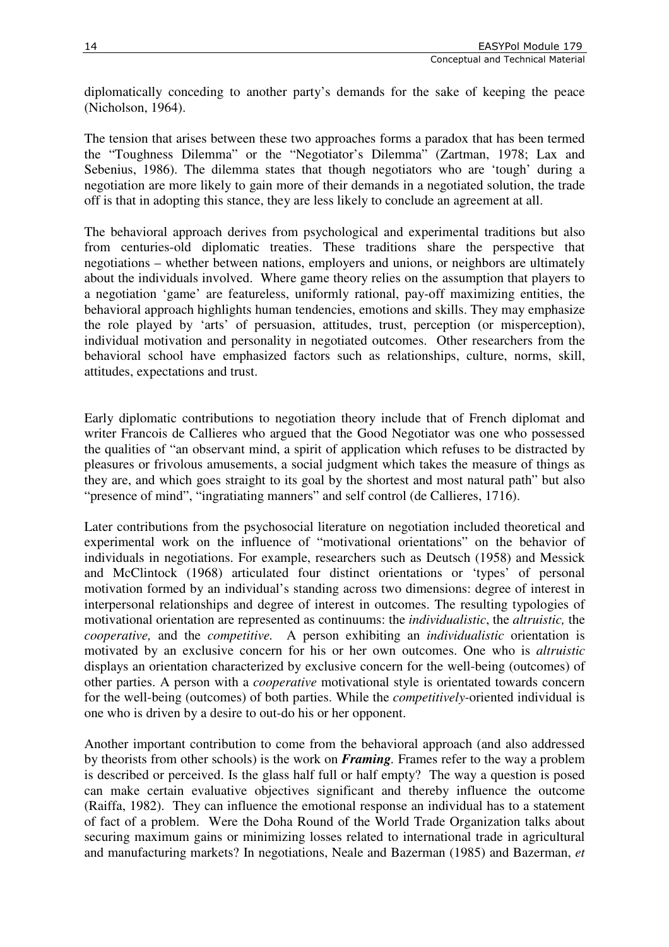diplomatically conceding to another party's demands for the sake of keeping the peace (Nicholson, 1964).

The tension that arises between these two approaches forms a paradox that has been termed the "Toughness Dilemma" or the "Negotiator's Dilemma" (Zartman, 1978; Lax and Sebenius, 1986). The dilemma states that though negotiators who are 'tough' during a negotiation are more likely to gain more of their demands in a negotiated solution, the trade off is that in adopting this stance, they are less likely to conclude an agreement at all.

The behavioral approach derives from psychological and experimental traditions but also from centuries-old diplomatic treaties. These traditions share the perspective that negotiations – whether between nations, employers and unions, or neighbors are ultimately about the individuals involved. Where game theory relies on the assumption that players to a negotiation 'game' are featureless, uniformly rational, pay-off maximizing entities, the behavioral approach highlights human tendencies, emotions and skills. They may emphasize the role played by 'arts' of persuasion, attitudes, trust, perception (or misperception), individual motivation and personality in negotiated outcomes. Other researchers from the behavioral school have emphasized factors such as relationships, culture, norms, skill, attitudes, expectations and trust.

Early diplomatic contributions to negotiation theory include that of French diplomat and writer Francois de Callieres who argued that the Good Negotiator was one who possessed the qualities of "an observant mind, a spirit of application which refuses to be distracted by pleasures or frivolous amusements, a social judgment which takes the measure of things as they are, and which goes straight to its goal by the shortest and most natural path" but also "presence of mind", "ingratiating manners" and self control (de Callieres, 1716).

Later contributions from the psychosocial literature on negotiation included theoretical and experimental work on the influence of "motivational orientations" on the behavior of individuals in negotiations. For example, researchers such as Deutsch (1958) and Messick and McClintock (1968) articulated four distinct orientations or 'types' of personal motivation formed by an individual's standing across two dimensions: degree of interest in interpersonal relationships and degree of interest in outcomes. The resulting typologies of motivational orientation are represented as continuums: the *individualistic*, the *altruistic,* the *cooperative,* and the *competitive.* A person exhibiting an *individualistic* orientation is motivated by an exclusive concern for his or her own outcomes. One who is *altruistic* displays an orientation characterized by exclusive concern for the well-being (outcomes) of other parties. A person with a *cooperative* motivational style is orientated towards concern for the well-being (outcomes) of both parties. While the *competitively-*oriented individual is one who is driven by a desire to out-do his or her opponent.

Another important contribution to come from the behavioral approach (and also addressed by theorists from other schools) is the work on *Framing.* Frames refer to the way a problem is described or perceived. Is the glass half full or half empty? The way a question is posed can make certain evaluative objectives significant and thereby influence the outcome (Raiffa, 1982). They can influence the emotional response an individual has to a statement of fact of a problem. Were the Doha Round of the World Trade Organization talks about securing maximum gains or minimizing losses related to international trade in agricultural and manufacturing markets? In negotiations, Neale and Bazerman (1985) and Bazerman, *et*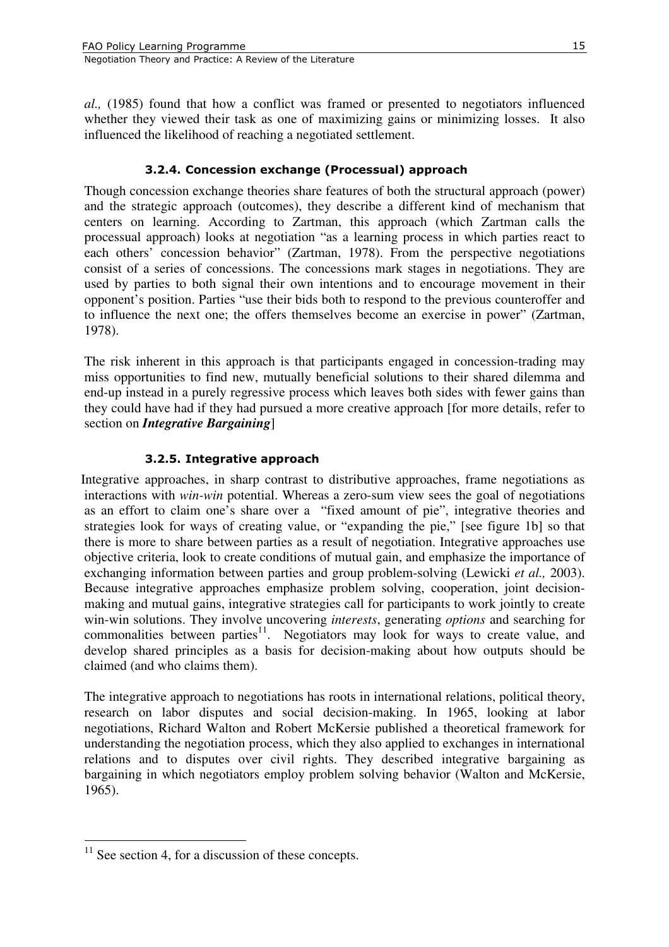*al.,* (1985) found that how a conflict was framed or presented to negotiators influenced whether they viewed their task as one of maximizing gains or minimizing losses. It also influenced the likelihood of reaching a negotiated settlement.

### 3.2.4. Concession exchange (Processual) approach

Though concession exchange theories share features of both the structural approach (power) and the strategic approach (outcomes), they describe a different kind of mechanism that centers on learning. According to Zartman, this approach (which Zartman calls the processual approach) looks at negotiation "as a learning process in which parties react to each others' concession behavior" (Zartman, 1978). From the perspective negotiations consist of a series of concessions. The concessions mark stages in negotiations. They are used by parties to both signal their own intentions and to encourage movement in their opponent's position. Parties "use their bids both to respond to the previous counteroffer and to influence the next one; the offers themselves become an exercise in power" (Zartman, 1978).

The risk inherent in this approach is that participants engaged in concession-trading may miss opportunities to find new, mutually beneficial solutions to their shared dilemma and end-up instead in a purely regressive process which leaves both sides with fewer gains than they could have had if they had pursued a more creative approach [for more details, refer to section on *Integrative Bargaining*]

#### 3.2.5. Integrative approach

Integrative approaches, in sharp contrast to distributive approaches, frame negotiations as interactions with *win-win* potential. Whereas a zero-sum view sees the goal of negotiations as an effort to claim one's share over a "fixed amount of pie", integrative theories and strategies look for ways of creating value, or "expanding the pie," [see figure 1b] so that there is more to share between parties as a result of negotiation. Integrative approaches use objective criteria, look to create conditions of mutual gain, and emphasize the importance of exchanging information between parties and group problem-solving (Lewicki *et al.,* 2003). Because integrative approaches emphasize problem solving, cooperation, joint decisionmaking and mutual gains, integrative strategies call for participants to work jointly to create win-win solutions. They involve uncovering *interests*, generating *options* and searching for commonalities between parties<sup>11</sup>. Negotiators may look for ways to create value, and develop shared principles as a basis for decision-making about how outputs should be claimed (and who claims them).

The integrative approach to negotiations has roots in international relations, political theory, research on labor disputes and social decision-making. In 1965, looking at labor negotiations, Richard Walton and Robert McKersie published a theoretical framework for understanding the negotiation process, which they also applied to exchanges in international relations and to disputes over civil rights. They described integrative bargaining as bargaining in which negotiators employ problem solving behavior (Walton and McKersie, 1965).

 $\overline{a}$ 

 $11$  See section 4, for a discussion of these concepts.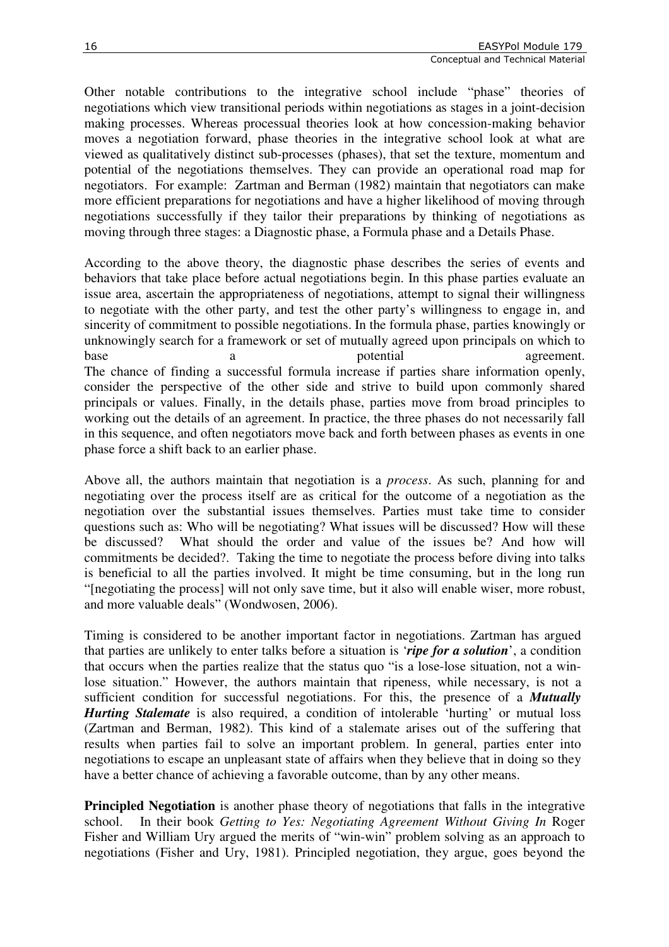Other notable contributions to the integrative school include "phase" theories of negotiations which view transitional periods within negotiations as stages in a joint-decision making processes. Whereas processual theories look at how concession-making behavior moves a negotiation forward, phase theories in the integrative school look at what are viewed as qualitatively distinct sub-processes (phases), that set the texture, momentum and potential of the negotiations themselves. They can provide an operational road map for negotiators. For example: Zartman and Berman (1982) maintain that negotiators can make more efficient preparations for negotiations and have a higher likelihood of moving through negotiations successfully if they tailor their preparations by thinking of negotiations as moving through three stages: a Diagnostic phase, a Formula phase and a Details Phase.

According to the above theory, the diagnostic phase describes the series of events and behaviors that take place before actual negotiations begin. In this phase parties evaluate an issue area, ascertain the appropriateness of negotiations, attempt to signal their willingness to negotiate with the other party, and test the other party's willingness to engage in, and sincerity of commitment to possible negotiations. In the formula phase, parties knowingly or unknowingly search for a framework or set of mutually agreed upon principals on which to base a potential agreement. The chance of finding a successful formula increase if parties share information openly, consider the perspective of the other side and strive to build upon commonly shared principals or values. Finally, in the details phase, parties move from broad principles to working out the details of an agreement. In practice, the three phases do not necessarily fall in this sequence, and often negotiators move back and forth between phases as events in one phase force a shift back to an earlier phase.

Above all, the authors maintain that negotiation is a *process*. As such, planning for and negotiating over the process itself are as critical for the outcome of a negotiation as the negotiation over the substantial issues themselves. Parties must take time to consider questions such as: Who will be negotiating? What issues will be discussed? How will these be discussed? What should the order and value of the issues be? And how will commitments be decided?. Taking the time to negotiate the process before diving into talks is beneficial to all the parties involved. It might be time consuming, but in the long run "[negotiating the process] will not only save time, but it also will enable wiser, more robust, and more valuable deals" (Wondwosen, 2006).

Timing is considered to be another important factor in negotiations. Zartman has argued that parties are unlikely to enter talks before a situation is '*ripe for a solution*', a condition that occurs when the parties realize that the status quo "is a lose-lose situation, not a winlose situation." However, the authors maintain that ripeness, while necessary, is not a sufficient condition for successful negotiations. For this, the presence of a *Mutually Hurting Stalemate* is also required, a condition of intolerable 'hurting' or mutual loss (Zartman and Berman, 1982). This kind of a stalemate arises out of the suffering that results when parties fail to solve an important problem. In general, parties enter into negotiations to escape an unpleasant state of affairs when they believe that in doing so they have a better chance of achieving a favorable outcome, than by any other means.

**Principled Negotiation** is another phase theory of negotiations that falls in the integrative school. In their book *Getting to Yes: Negotiating Agreement Without Giving In* Roger Fisher and William Ury argued the merits of "win-win" problem solving as an approach to negotiations (Fisher and Ury, 1981). Principled negotiation, they argue, goes beyond the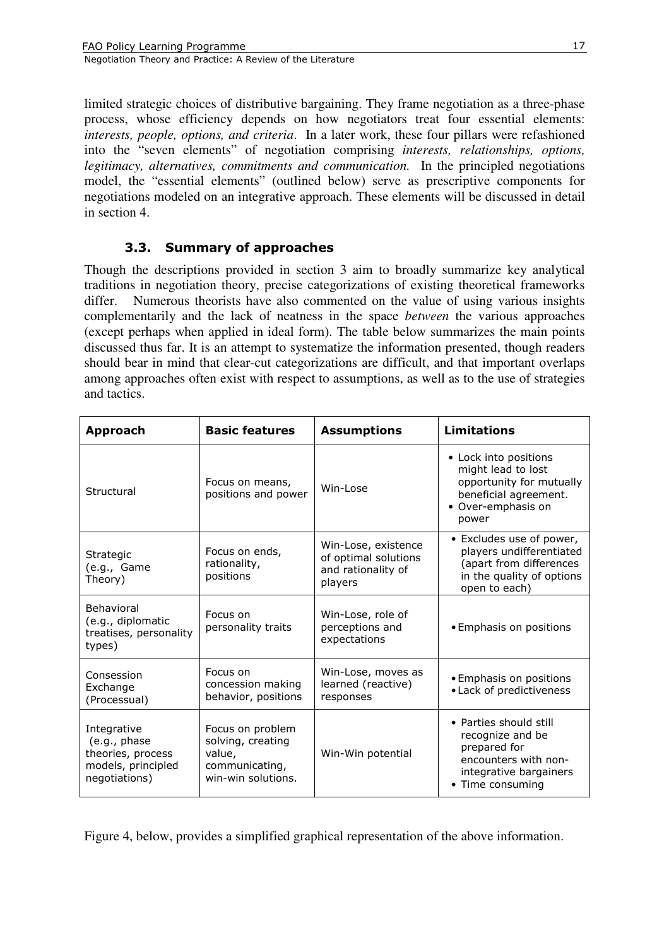limited strategic choices of distributive bargaining. They frame negotiation as a three-phase process, whose efficiency depends on how negotiators treat four essential elements: *interests, people, options, and criteria*. In a later work, these four pillars were refashioned into the "seven elements" of negotiation comprising *interests, relationships, options, legitimacy, alternatives, commitments and communication.* In the principled negotiations model, the "essential elements" (outlined below) serve as prescriptive components for negotiations modeled on an integrative approach. These elements will be discussed in detail in section 4.

# 3.3. Summary of approaches

Though the descriptions provided in section 3 aim to broadly summarize key analytical traditions in negotiation theory, precise categorizations of existing theoretical frameworks differ. Numerous theorists have also commented on the value of using various insights complementarily and the lack of neatness in the space *between* the various approaches (except perhaps when applied in ideal form). The table below summarizes the main points discussed thus far. It is an attempt to systematize the information presented, though readers should bear in mind that clear-cut categorizations are difficult, and that important overlaps among approaches often exist with respect to assumptions, as well as to the use of strategies and tactics.

| Approach                                                                                | <b>Basic features</b>                                                                   | <b>Assumptions</b>                                                           | <b>Limitations</b>                                                                                                               |
|-----------------------------------------------------------------------------------------|-----------------------------------------------------------------------------------------|------------------------------------------------------------------------------|----------------------------------------------------------------------------------------------------------------------------------|
| Structural                                                                              | Focus on means,<br>positions and power                                                  | Win-Lose                                                                     | • Lock into positions<br>might lead to lost<br>opportunity for mutually<br>beneficial agreement.<br>• Over-emphasis on<br>power  |
| <b>Strategic</b><br>(e.g., Game<br>Theory)                                              | Focus on ends,<br>rationality,<br>positions                                             | Win-Lose, existence<br>of optimal solutions<br>and rationality of<br>players | • Excludes use of power,<br>players undifferentiated<br>(apart from differences<br>in the quality of options<br>open to each)    |
| Behavioral<br>(e.g., diplomatic<br>treatises, personality<br>types)                     | Focus on<br>personality traits                                                          | Win-Lose, role of<br>perceptions and<br>expectations                         | • Emphasis on positions                                                                                                          |
| Consession<br>Exchange<br>(Processual)                                                  | Focus on<br>concession making<br>behavior, positions                                    | Win-Lose, moves as<br>learned (reactive)<br>responses                        | • Emphasis on positions<br>• Lack of predictiveness                                                                              |
| Integrative<br>(e.g., phase<br>theories, process<br>models, principled<br>negotiations) | Focus on problem<br>solving, creating<br>value,<br>communicating,<br>win-win solutions. | Win-Win potential                                                            | • Parties should still<br>recognize and be<br>prepared for<br>encounters with non-<br>integrative bargainers<br>• Time consuming |

Figure 4, below, provides a simplified graphical representation of the above information.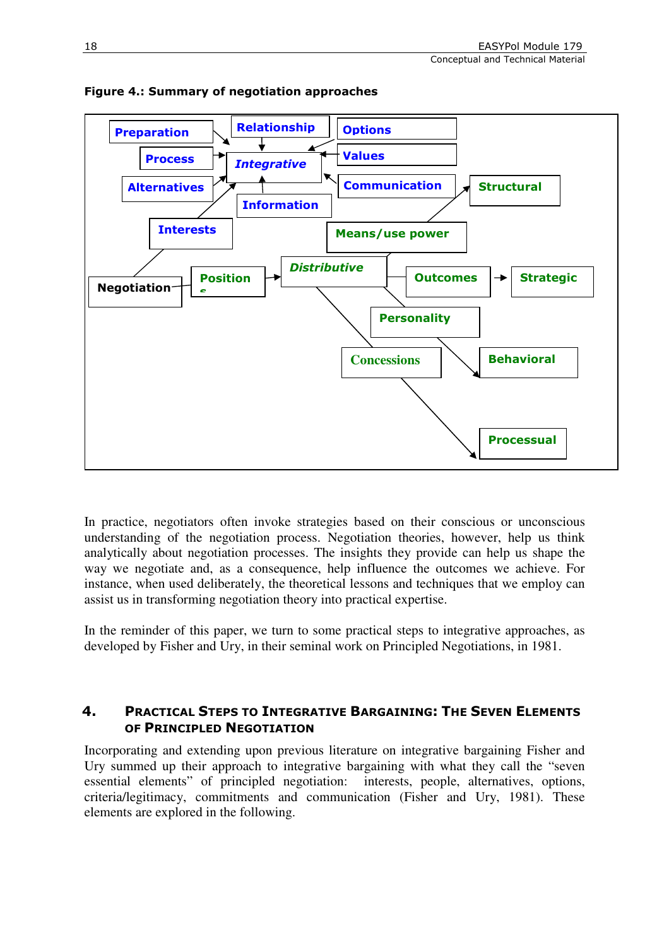Conceptual and Technical Material



#### Figure 4.: Summary of negotiation approaches

In practice, negotiators often invoke strategies based on their conscious or unconscious understanding of the negotiation process. Negotiation theories, however, help us think analytically about negotiation processes. The insights they provide can help us shape the way we negotiate and, as a consequence, help influence the outcomes we achieve. For instance, when used deliberately, the theoretical lessons and techniques that we employ can assist us in transforming negotiation theory into practical expertise.

In the reminder of this paper, we turn to some practical steps to integrative approaches, as developed by Fisher and Ury, in their seminal work on Principled Negotiations, in 1981.

# 4. PRACTICAL STEPS TO INTEGRATIVE BARGAINING: THE SEVEN ELEMENTS OF PRINCIPLED NEGOTIATION

Incorporating and extending upon previous literature on integrative bargaining Fisher and Ury summed up their approach to integrative bargaining with what they call the "seven essential elements" of principled negotiation: interests, people, alternatives, options, criteria/legitimacy, commitments and communication (Fisher and Ury, 1981). These elements are explored in the following.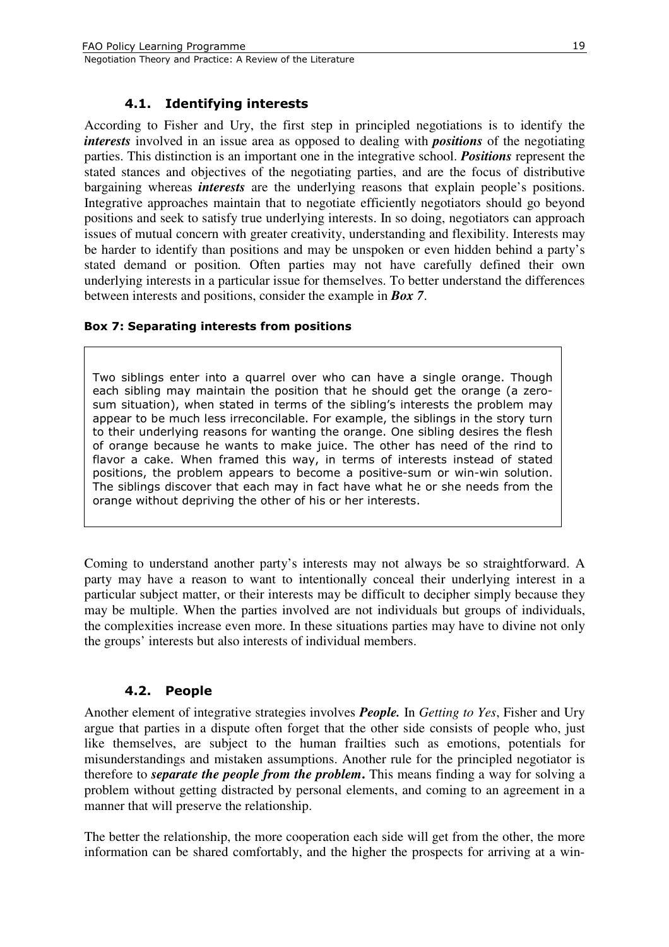## 4.1. Identifying interests

According to Fisher and Ury, the first step in principled negotiations is to identify the *interests* involved in an issue area as opposed to dealing with *positions* of the negotiating parties. This distinction is an important one in the integrative school. *Positions* represent the stated stances and objectives of the negotiating parties, and are the focus of distributive bargaining whereas *interests* are the underlying reasons that explain people's positions. Integrative approaches maintain that to negotiate efficiently negotiators should go beyond positions and seek to satisfy true underlying interests. In so doing, negotiators can approach issues of mutual concern with greater creativity, understanding and flexibility. Interests may be harder to identify than positions and may be unspoken or even hidden behind a party's stated demand or position*.* Often parties may not have carefully defined their own underlying interests in a particular issue for themselves. To better understand the differences between interests and positions, consider the example in *Box 7*.

#### Box 7: Separating interests from positions

Two siblings enter into a quarrel over who can have a single orange. Though each sibling may maintain the position that he should get the orange (a zerosum situation), when stated in terms of the sibling's interests the problem may appear to be much less irreconcilable. For example, the siblings in the story turn to their underlying reasons for wanting the orange. One sibling desires the flesh of orange because he wants to make juice. The other has need of the rind to flavor a cake. When framed this way, in terms of interests instead of stated positions, the problem appears to become a positive-sum or win-win solution. The siblings discover that each may in fact have what he or she needs from the orange without depriving the other of his or her interests.

Coming to understand another party's interests may not always be so straightforward. A party may have a reason to want to intentionally conceal their underlying interest in a particular subject matter, or their interests may be difficult to decipher simply because they may be multiple. When the parties involved are not individuals but groups of individuals, the complexities increase even more. In these situations parties may have to divine not only the groups' interests but also interests of individual members.

# 4.2. People

Another element of integrative strategies involves *People.* In *Getting to Yes*, Fisher and Ury argue that parties in a dispute often forget that the other side consists of people who, just like themselves, are subject to the human frailties such as emotions, potentials for misunderstandings and mistaken assumptions. Another rule for the principled negotiator is therefore to *separate the people from the problem***.** This means finding a way for solving a problem without getting distracted by personal elements, and coming to an agreement in a manner that will preserve the relationship.

The better the relationship, the more cooperation each side will get from the other, the more information can be shared comfortably, and the higher the prospects for arriving at a win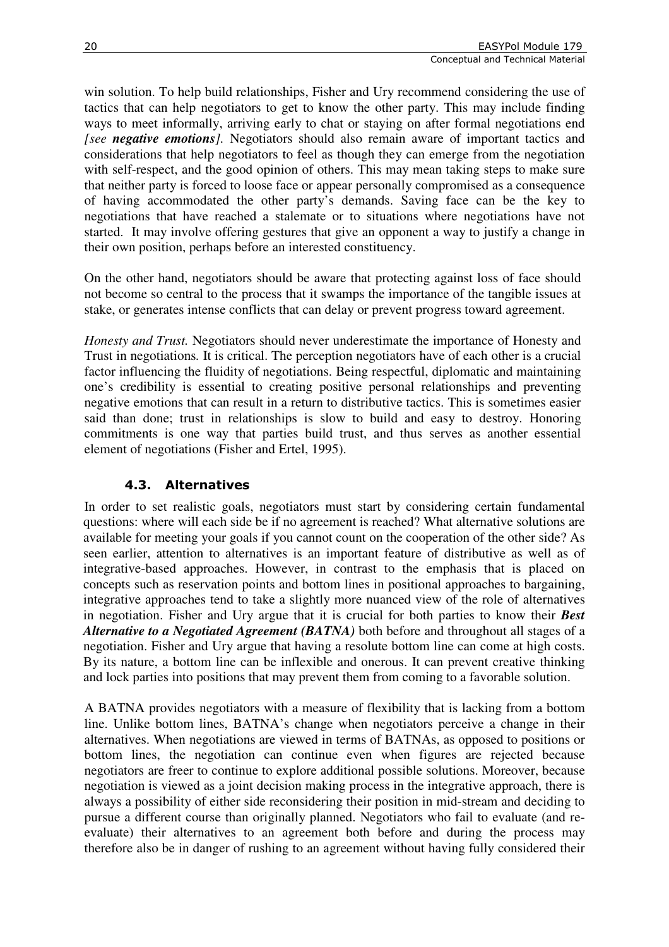win solution. To help build relationships, Fisher and Ury recommend considering the use of tactics that can help negotiators to get to know the other party. This may include finding ways to meet informally, arriving early to chat or staying on after formal negotiations end *[see negative emotions].* Negotiators should also remain aware of important tactics and considerations that help negotiators to feel as though they can emerge from the negotiation with self-respect, and the good opinion of others. This may mean taking steps to make sure that neither party is forced to loose face or appear personally compromised as a consequence of having accommodated the other party's demands. Saving face can be the key to negotiations that have reached a stalemate or to situations where negotiations have not started. It may involve offering gestures that give an opponent a way to justify a change in their own position, perhaps before an interested constituency.

On the other hand, negotiators should be aware that protecting against loss of face should not become so central to the process that it swamps the importance of the tangible issues at stake, or generates intense conflicts that can delay or prevent progress toward agreement.

*Honesty and Trust.* Negotiators should never underestimate the importance of Honesty and Trust in negotiations*.* It is critical. The perception negotiators have of each other is a crucial factor influencing the fluidity of negotiations. Being respectful, diplomatic and maintaining one's credibility is essential to creating positive personal relationships and preventing negative emotions that can result in a return to distributive tactics. This is sometimes easier said than done; trust in relationships is slow to build and easy to destroy. Honoring commitments is one way that parties build trust, and thus serves as another essential element of negotiations (Fisher and Ertel, 1995).

# 4.3. Alternatives

In order to set realistic goals, negotiators must start by considering certain fundamental questions: where will each side be if no agreement is reached? What alternative solutions are available for meeting your goals if you cannot count on the cooperation of the other side? As seen earlier, attention to alternatives is an important feature of distributive as well as of integrative-based approaches. However, in contrast to the emphasis that is placed on concepts such as reservation points and bottom lines in positional approaches to bargaining, integrative approaches tend to take a slightly more nuanced view of the role of alternatives in negotiation. Fisher and Ury argue that it is crucial for both parties to know their *Best Alternative to a Negotiated Agreement (BATNA)* both before and throughout all stages of a negotiation. Fisher and Ury argue that having a resolute bottom line can come at high costs. By its nature, a bottom line can be inflexible and onerous. It can prevent creative thinking and lock parties into positions that may prevent them from coming to a favorable solution.

A BATNA provides negotiators with a measure of flexibility that is lacking from a bottom line. Unlike bottom lines, BATNA's change when negotiators perceive a change in their alternatives. When negotiations are viewed in terms of BATNAs, as opposed to positions or bottom lines, the negotiation can continue even when figures are rejected because negotiators are freer to continue to explore additional possible solutions. Moreover, because negotiation is viewed as a joint decision making process in the integrative approach, there is always a possibility of either side reconsidering their position in mid-stream and deciding to pursue a different course than originally planned. Negotiators who fail to evaluate (and reevaluate) their alternatives to an agreement both before and during the process may therefore also be in danger of rushing to an agreement without having fully considered their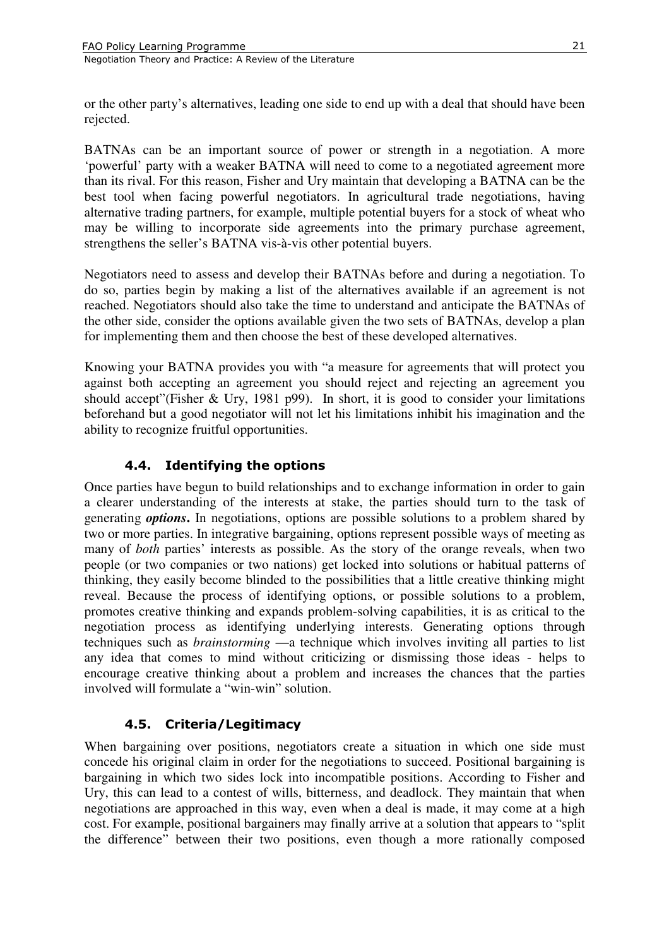or the other party's alternatives, leading one side to end up with a deal that should have been rejected.

BATNAs can be an important source of power or strength in a negotiation. A more 'powerful' party with a weaker BATNA will need to come to a negotiated agreement more than its rival. For this reason, Fisher and Ury maintain that developing a BATNA can be the best tool when facing powerful negotiators. In agricultural trade negotiations, having alternative trading partners, for example, multiple potential buyers for a stock of wheat who may be willing to incorporate side agreements into the primary purchase agreement, strengthens the seller's BATNA vis-à-vis other potential buyers.

Negotiators need to assess and develop their BATNAs before and during a negotiation. To do so, parties begin by making a list of the alternatives available if an agreement is not reached. Negotiators should also take the time to understand and anticipate the BATNAs of the other side, consider the options available given the two sets of BATNAs, develop a plan for implementing them and then choose the best of these developed alternatives.

Knowing your BATNA provides you with "a measure for agreements that will protect you against both accepting an agreement you should reject and rejecting an agreement you should accept"(Fisher & Ury, 1981 p99). In short, it is good to consider your limitations beforehand but a good negotiator will not let his limitations inhibit his imagination and the ability to recognize fruitful opportunities.

# 4.4. Identifying the options

Once parties have begun to build relationships and to exchange information in order to gain a clearer understanding of the interests at stake, the parties should turn to the task of generating *options***.** In negotiations, options are possible solutions to a problem shared by two or more parties. In integrative bargaining, options represent possible ways of meeting as many of *both* parties' interests as possible. As the story of the orange reveals, when two people (or two companies or two nations) get locked into solutions or habitual patterns of thinking, they easily become blinded to the possibilities that a little creative thinking might reveal. Because the process of identifying options, or possible solutions to a problem, promotes creative thinking and expands problem-solving capabilities, it is as critical to the negotiation process as identifying underlying interests. Generating options through techniques such as *brainstorming* —a technique which involves inviting all parties to list any idea that comes to mind without criticizing or dismissing those ideas - helps to encourage creative thinking about a problem and increases the chances that the parties involved will formulate a "win-win" solution.

# 4.5. Criteria/Legitimacy

When bargaining over positions, negotiators create a situation in which one side must concede his original claim in order for the negotiations to succeed. Positional bargaining is bargaining in which two sides lock into incompatible positions. According to Fisher and Ury, this can lead to a contest of wills, bitterness, and deadlock. They maintain that when negotiations are approached in this way, even when a deal is made, it may come at a high cost. For example, positional bargainers may finally arrive at a solution that appears to "split the difference" between their two positions, even though a more rationally composed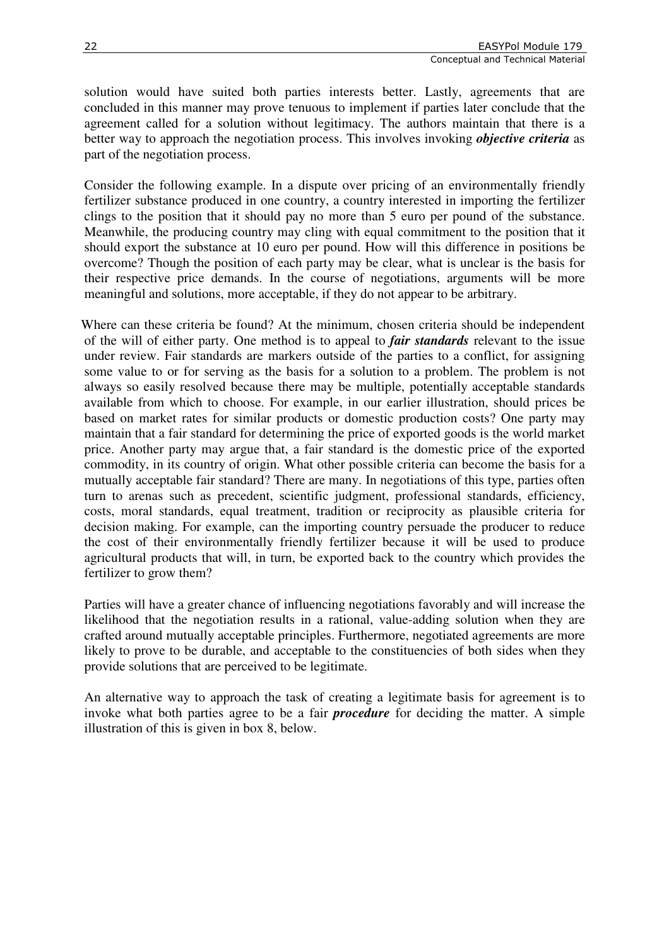solution would have suited both parties interests better. Lastly, agreements that are concluded in this manner may prove tenuous to implement if parties later conclude that the agreement called for a solution without legitimacy. The authors maintain that there is a better way to approach the negotiation process. This involves invoking *objective criteria* as part of the negotiation process.

Consider the following example. In a dispute over pricing of an environmentally friendly fertilizer substance produced in one country, a country interested in importing the fertilizer clings to the position that it should pay no more than 5 euro per pound of the substance. Meanwhile, the producing country may cling with equal commitment to the position that it should export the substance at 10 euro per pound. How will this difference in positions be overcome? Though the position of each party may be clear, what is unclear is the basis for their respective price demands. In the course of negotiations, arguments will be more meaningful and solutions, more acceptable, if they do not appear to be arbitrary.

Where can these criteria be found? At the minimum, chosen criteria should be independent of the will of either party. One method is to appeal to *fair standards* relevant to the issue under review. Fair standards are markers outside of the parties to a conflict, for assigning some value to or for serving as the basis for a solution to a problem. The problem is not always so easily resolved because there may be multiple, potentially acceptable standards available from which to choose. For example, in our earlier illustration, should prices be based on market rates for similar products or domestic production costs? One party may maintain that a fair standard for determining the price of exported goods is the world market price. Another party may argue that, a fair standard is the domestic price of the exported commodity, in its country of origin. What other possible criteria can become the basis for a mutually acceptable fair standard? There are many. In negotiations of this type, parties often turn to arenas such as precedent, scientific judgment, professional standards, efficiency, costs, moral standards, equal treatment, tradition or reciprocity as plausible criteria for decision making. For example, can the importing country persuade the producer to reduce the cost of their environmentally friendly fertilizer because it will be used to produce agricultural products that will, in turn, be exported back to the country which provides the fertilizer to grow them?

Parties will have a greater chance of influencing negotiations favorably and will increase the likelihood that the negotiation results in a rational, value-adding solution when they are crafted around mutually acceptable principles. Furthermore, negotiated agreements are more likely to prove to be durable, and acceptable to the constituencies of both sides when they provide solutions that are perceived to be legitimate.

An alternative way to approach the task of creating a legitimate basis for agreement is to invoke what both parties agree to be a fair *procedure* for deciding the matter. A simple illustration of this is given in box 8, below.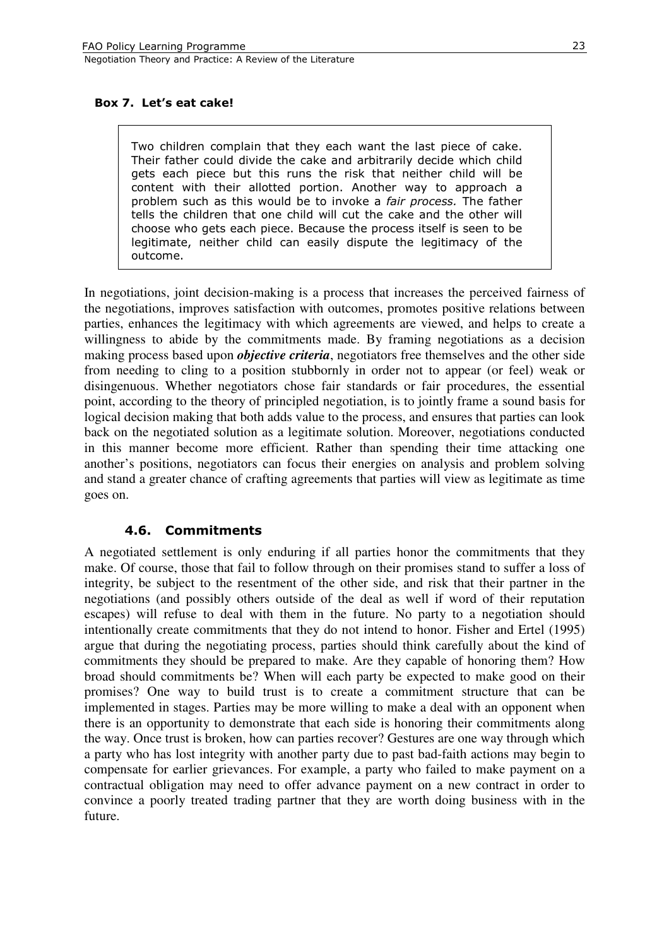#### Box 7. Let's eat cake!

Two children complain that they each want the last piece of cake. Their father could divide the cake and arbitrarily decide which child gets each piece but this runs the risk that neither child will be content with their allotted portion. Another way to approach a problem such as this would be to invoke a *fair process*. The father tells the children that one child will cut the cake and the other will choose who gets each piece. Because the process itself is seen to be legitimate, neither child can easily dispute the legitimacy of the outcome.

In negotiations, joint decision-making is a process that increases the perceived fairness of the negotiations, improves satisfaction with outcomes, promotes positive relations between parties, enhances the legitimacy with which agreements are viewed, and helps to create a willingness to abide by the commitments made. By framing negotiations as a decision making process based upon *objective criteria*, negotiators free themselves and the other side from needing to cling to a position stubbornly in order not to appear (or feel) weak or disingenuous. Whether negotiators chose fair standards or fair procedures, the essential point, according to the theory of principled negotiation, is to jointly frame a sound basis for logical decision making that both adds value to the process, and ensures that parties can look back on the negotiated solution as a legitimate solution. Moreover, negotiations conducted in this manner become more efficient. Rather than spending their time attacking one another's positions, negotiators can focus their energies on analysis and problem solving and stand a greater chance of crafting agreements that parties will view as legitimate as time goes on.

#### 4.6. Commitments

A negotiated settlement is only enduring if all parties honor the commitments that they make. Of course, those that fail to follow through on their promises stand to suffer a loss of integrity, be subject to the resentment of the other side, and risk that their partner in the negotiations (and possibly others outside of the deal as well if word of their reputation escapes) will refuse to deal with them in the future. No party to a negotiation should intentionally create commitments that they do not intend to honor. Fisher and Ertel (1995) argue that during the negotiating process, parties should think carefully about the kind of commitments they should be prepared to make. Are they capable of honoring them? How broad should commitments be? When will each party be expected to make good on their promises? One way to build trust is to create a commitment structure that can be implemented in stages. Parties may be more willing to make a deal with an opponent when there is an opportunity to demonstrate that each side is honoring their commitments along the way. Once trust is broken, how can parties recover? Gestures are one way through which a party who has lost integrity with another party due to past bad-faith actions may begin to compensate for earlier grievances. For example, a party who failed to make payment on a contractual obligation may need to offer advance payment on a new contract in order to convince a poorly treated trading partner that they are worth doing business with in the future.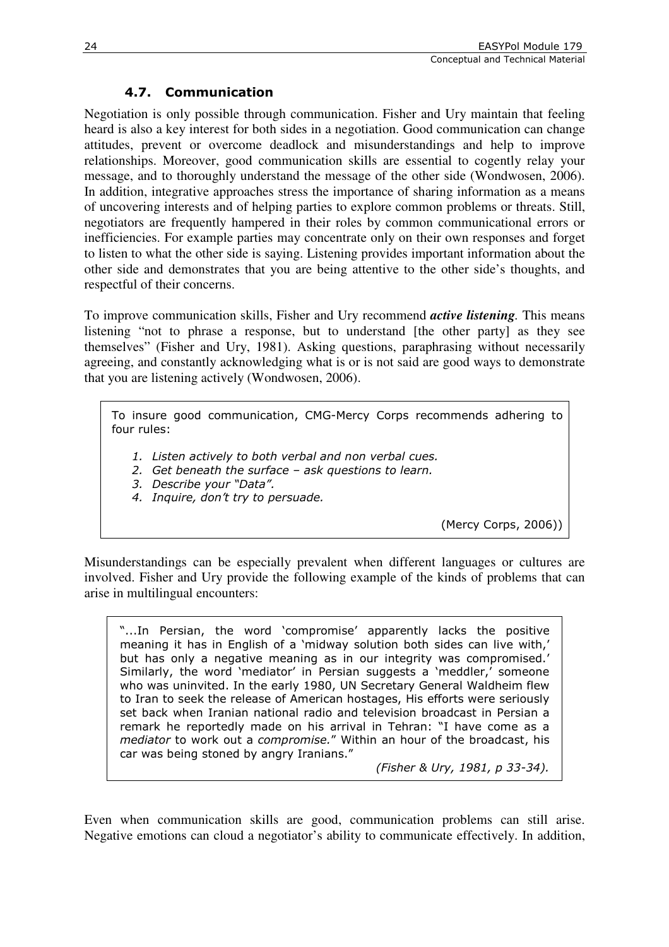# 4.7. Communication

Negotiation is only possible through communication. Fisher and Ury maintain that feeling heard is also a key interest for both sides in a negotiation. Good communication can change attitudes, prevent or overcome deadlock and misunderstandings and help to improve relationships. Moreover, good communication skills are essential to cogently relay your message, and to thoroughly understand the message of the other side (Wondwosen, 2006). In addition, integrative approaches stress the importance of sharing information as a means of uncovering interests and of helping parties to explore common problems or threats. Still, negotiators are frequently hampered in their roles by common communicational errors or inefficiencies. For example parties may concentrate only on their own responses and forget to listen to what the other side is saying. Listening provides important information about the other side and demonstrates that you are being attentive to the other side's thoughts, and respectful of their concerns.

To improve communication skills, Fisher and Ury recommend *active listening.* This means listening "not to phrase a response, but to understand [the other party] as they see themselves" (Fisher and Ury, 1981). Asking questions, paraphrasing without necessarily agreeing, and constantly acknowledging what is or is not said are good ways to demonstrate that you are listening actively (Wondwosen, 2006).

To insure good communication, CMG-Mercy Corps recommends adhering to four rules:

1. Listen actively to both verbal and non verbal cues.

2. Get beneath the surface – ask questions to learn.

3. Describe your "Data".

4. Inquire, don't try to persuade.

(Mercy Corps, 2006))

Misunderstandings can be especially prevalent when different languages or cultures are involved. Fisher and Ury provide the following example of the kinds of problems that can arise in multilingual encounters:

"...In Persian, the word 'compromise' apparently lacks the positive meaning it has in English of a 'midway solution both sides can live with,' but has only a negative meaning as in our integrity was compromised.' Similarly, the word 'mediator' in Persian suggests a 'meddler,' someone who was uninvited. In the early 1980, UN Secretary General Waldheim flew to Iran to seek the release of American hostages, His efforts were seriously set back when Iranian national radio and television broadcast in Persian a remark he reportedly made on his arrival in Tehran: "I have come as a mediator to work out a compromise." Within an hour of the broadcast, his car was being stoned by angry Iranians."

(Fisher & Ury, 1981, p 33-34).

Even when communication skills are good, communication problems can still arise. Negative emotions can cloud a negotiator's ability to communicate effectively. In addition,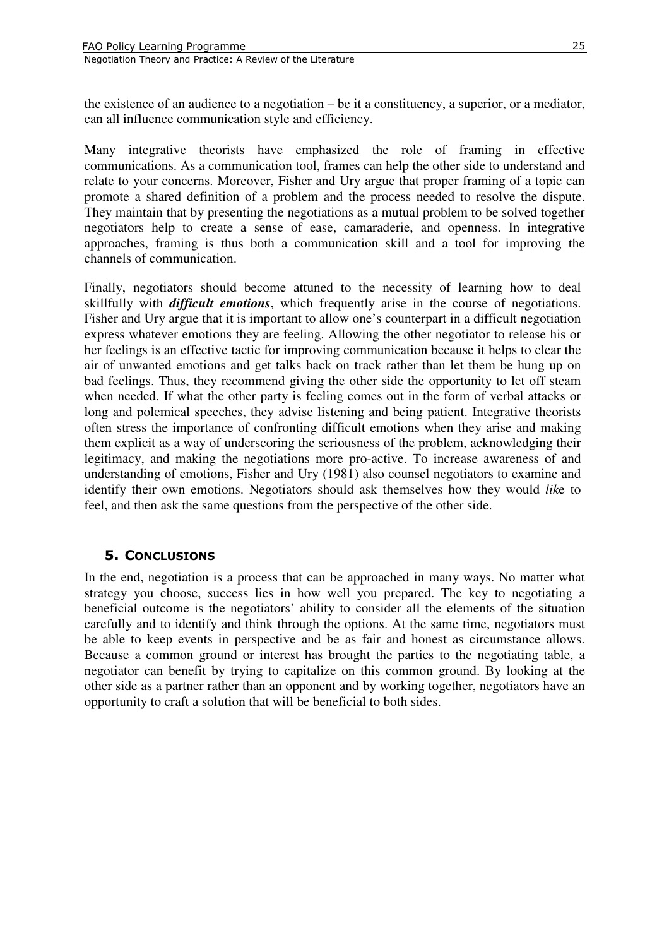the existence of an audience to a negotiation – be it a constituency, a superior, or a mediator, can all influence communication style and efficiency.

Many integrative theorists have emphasized the role of framing in effective communications. As a communication tool, frames can help the other side to understand and relate to your concerns. Moreover, Fisher and Ury argue that proper framing of a topic can promote a shared definition of a problem and the process needed to resolve the dispute. They maintain that by presenting the negotiations as a mutual problem to be solved together negotiators help to create a sense of ease, camaraderie, and openness. In integrative approaches, framing is thus both a communication skill and a tool for improving the channels of communication.

Finally, negotiators should become attuned to the necessity of learning how to deal skillfully with *difficult emotions*, which frequently arise in the course of negotiations. Fisher and Ury argue that it is important to allow one's counterpart in a difficult negotiation express whatever emotions they are feeling. Allowing the other negotiator to release his or her feelings is an effective tactic for improving communication because it helps to clear the air of unwanted emotions and get talks back on track rather than let them be hung up on bad feelings. Thus, they recommend giving the other side the opportunity to let off steam when needed. If what the other party is feeling comes out in the form of verbal attacks or long and polemical speeches, they advise listening and being patient. Integrative theorists often stress the importance of confronting difficult emotions when they arise and making them explicit as a way of underscoring the seriousness of the problem, acknowledging their legitimacy, and making the negotiations more pro-active. To increase awareness of and understanding of emotions, Fisher and Ury (1981) also counsel negotiators to examine and identify their own emotions. Negotiators should ask themselves how they would *lik*e to feel, and then ask the same questions from the perspective of the other side.

#### 5. CONCLUSIONS

In the end, negotiation is a process that can be approached in many ways. No matter what strategy you choose, success lies in how well you prepared. The key to negotiating a beneficial outcome is the negotiators' ability to consider all the elements of the situation carefully and to identify and think through the options. At the same time, negotiators must be able to keep events in perspective and be as fair and honest as circumstance allows. Because a common ground or interest has brought the parties to the negotiating table, a negotiator can benefit by trying to capitalize on this common ground. By looking at the other side as a partner rather than an opponent and by working together, negotiators have an opportunity to craft a solution that will be beneficial to both sides.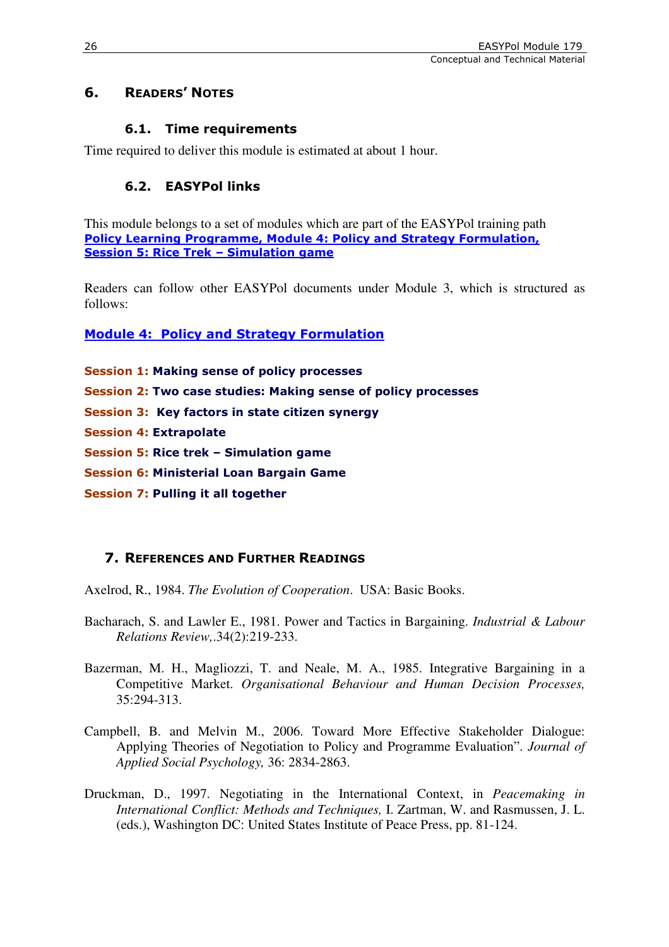# 6. READERS' NOTES

# 6.1. Time requirements

Time required to deliver this module is estimated at about 1 hour.

# 6.2. EASYPol links

This module belongs to a set of modules which are part of the EASYPol training path Policy Learning Programme, Module 4: Policy and Strategy Formulation, Session 5: Rice Trek – Simulation game

Readers can follow other EASYPol documents under Module 3, which is structured as follows:

Module 4: Policy and Strategy Formulation

Session 1: Making sense of policy processes

Session 2: Two case studies: Making sense of policy processes

Session 3: Key factors in state citizen synergy

Session 4: Extrapolate

Session 5: Rice trek – Simulation game

Session 6: Ministerial Loan Bargain Game

Session 7: Pulling it all together

# 7. REFERENCES AND FURTHER READINGS

Axelrod, R., 1984. *The Evolution of Cooperation*. USA: Basic Books.

- Bacharach, S. and Lawler E., 1981. Power and Tactics in Bargaining. *Industrial & Labour Relations Review,*.34(2):219-233.
- Bazerman, M. H., Magliozzi, T. and Neale, M. A., 1985. Integrative Bargaining in a Competitive Market. *Organisational Behaviour and Human Decision Processes,*  35:294-313.
- Campbell, B. and Melvin M., 2006. Toward More Effective Stakeholder Dialogue: Applying Theories of Negotiation to Policy and Programme Evaluation". *Journal of Applied Social Psychology,* 36: 2834-2863.
- Druckman, D., 1997. Negotiating in the International Context, in *Peacemaking in International Conflict: Methods and Techniques,* I. Zartman, W. and Rasmussen, J. L. (eds.), Washington DC: United States Institute of Peace Press, pp. 81-124.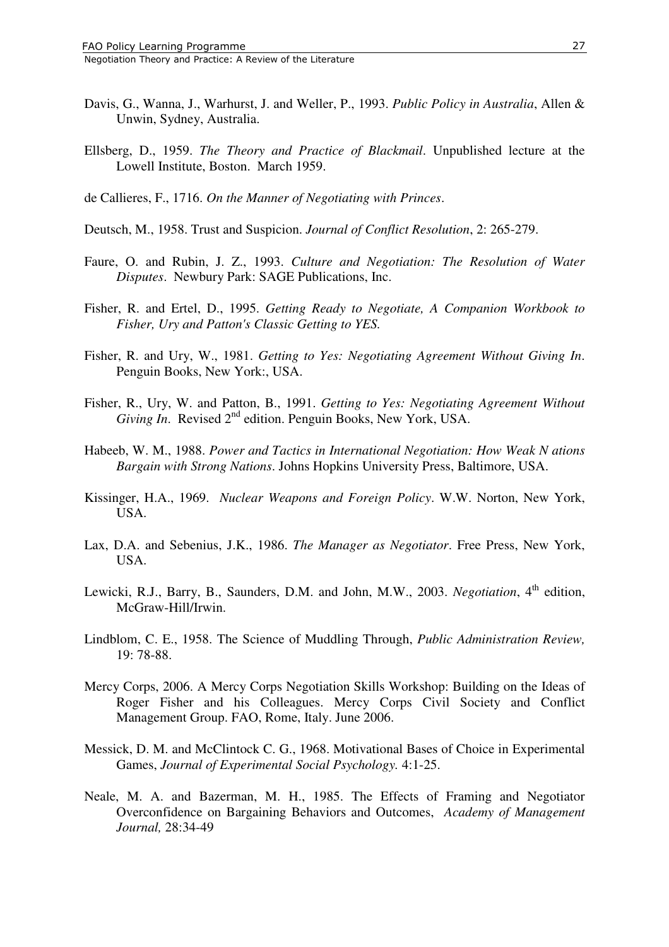- Davis, G., Wanna, J., Warhurst, J. and Weller, P., 1993. *Public Policy in Australia*, Allen & Unwin, Sydney, Australia.
- Ellsberg, D., 1959. *The Theory and Practice of Blackmail*. Unpublished lecture at the Lowell Institute, Boston. March 1959.
- de Callieres, F., 1716. *On the Manner of Negotiating with Princes*.
- Deutsch, M., 1958. Trust and Suspicion. *Journal of Conflict Resolution*, 2: 265-279.
- Faure, O. and Rubin, J. Z., 1993. *Culture and Negotiation: The Resolution of Water Disputes*. Newbury Park: SAGE Publications, Inc.
- Fisher, R. and Ertel, D., 1995. *Getting Ready to Negotiate, A Companion Workbook to Fisher, Ury and Patton's Classic Getting to YES.*
- Fisher, R. and Ury, W., 1981. *Getting to Yes: Negotiating Agreement Without Giving In*. Penguin Books, New York:, USA.
- Fisher, R., Ury, W. and Patton, B., 1991. *Getting to Yes: Negotiating Agreement Without Giving In.* Revised 2<sup>nd</sup> edition. Penguin Books, New York, USA.
- Habeeb, W. M., 1988. *Power and Tactics in International Negotiation: How Weak N ations Bargain with Strong Nations*. Johns Hopkins University Press, Baltimore, USA.
- Kissinger, H.A., 1969. *Nuclear Weapons and Foreign Policy*. W.W. Norton, New York, USA.
- Lax, D.A. and Sebenius, J.K., 1986. *The Manager as Negotiator*. Free Press, New York, USA.
- Lewicki, R.J., Barry, B., Saunders, D.M. and John, M.W., 2003. *Negotiation*, 4<sup>th</sup> edition. McGraw-Hill/Irwin.
- Lindblom, C. E., 1958. The Science of Muddling Through, *Public Administration Review,*  19: 78-88.
- Mercy Corps, 2006. A Mercy Corps Negotiation Skills Workshop: Building on the Ideas of Roger Fisher and his Colleagues. Mercy Corps Civil Society and Conflict Management Group. FAO, Rome, Italy. June 2006.
- Messick, D. M. and McClintock C. G., 1968. Motivational Bases of Choice in Experimental Games, *Journal of Experimental Social Psychology.* 4:1-25.
- Neale, M. A. and Bazerman, M. H., 1985. The Effects of Framing and Negotiator Overconfidence on Bargaining Behaviors and Outcomes, *Academy of Management Journal,* 28:34-49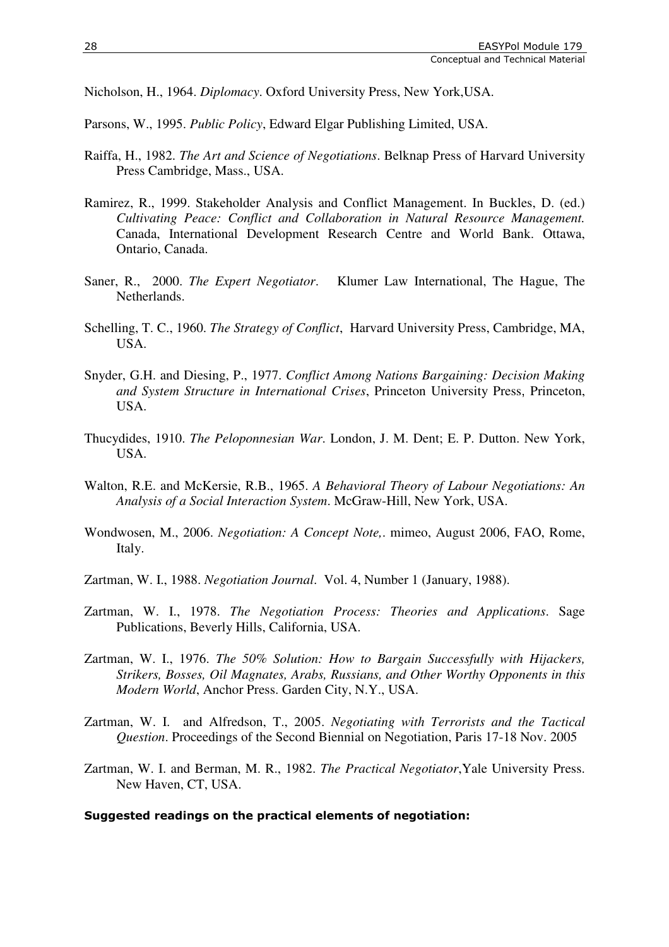Nicholson, H., 1964. *Diplomacy*. Oxford University Press, New York,USA.

Parsons, W., 1995. *Public Policy*, Edward Elgar Publishing Limited, USA.

- Raiffa, H., 1982. *The Art and Science of Negotiations*. Belknap Press of Harvard University Press Cambridge, Mass., USA.
- Ramirez, R., 1999. Stakeholder Analysis and Conflict Management. In Buckles, D. (ed.) *Cultivating Peace: Conflict and Collaboration in Natural Resource Management.*  Canada, International Development Research Centre and World Bank. Ottawa, Ontario, Canada.
- Saner, R., 2000. *The Expert Negotiator*. Klumer Law International, The Hague, The Netherlands.
- Schelling, T. C., 1960. *The Strategy of Conflict*, Harvard University Press, Cambridge, MA, USA.
- Snyder, G.H. and Diesing, P., 1977. *Conflict Among Nations Bargaining: Decision Making and System Structure in International Crises*, Princeton University Press, Princeton, USA.
- Thucydides, 1910. *The Peloponnesian War*. London, J. M. Dent; E. P. Dutton. New York, USA.
- Walton, R.E. and McKersie, R.B., 1965. *A Behavioral Theory of Labour Negotiations: An Analysis of a Social Interaction System*. McGraw-Hill, New York, USA.
- Wondwosen, M., 2006. *Negotiation: A Concept Note,*. mimeo, August 2006, FAO, Rome, Italy.
- Zartman, W. I., 1988. *Negotiation Journal*. Vol. 4, Number 1 (January, 1988).
- Zartman, W. I., 1978. *The Negotiation Process: Theories and Applications*. Sage Publications, Beverly Hills, California, USA.
- Zartman, W. I., 1976. *The 50% Solution: How to Bargain Successfully with Hijackers, Strikers, Bosses, Oil Magnates, Arabs, Russians, and Other Worthy Opponents in this Modern World*, Anchor Press. Garden City, N.Y., USA.
- Zartman, W. I. and Alfredson, T., 2005. *Negotiating with Terrorists and the Tactical Question*. Proceedings of the Second Biennial on Negotiation, Paris 17-18 Nov. 2005
- Zartman, W. I. and Berman, M. R., 1982. *The Practical Negotiator*,Yale University Press. New Haven, CT, USA.

#### Suggested readings on the practical elements of negotiation: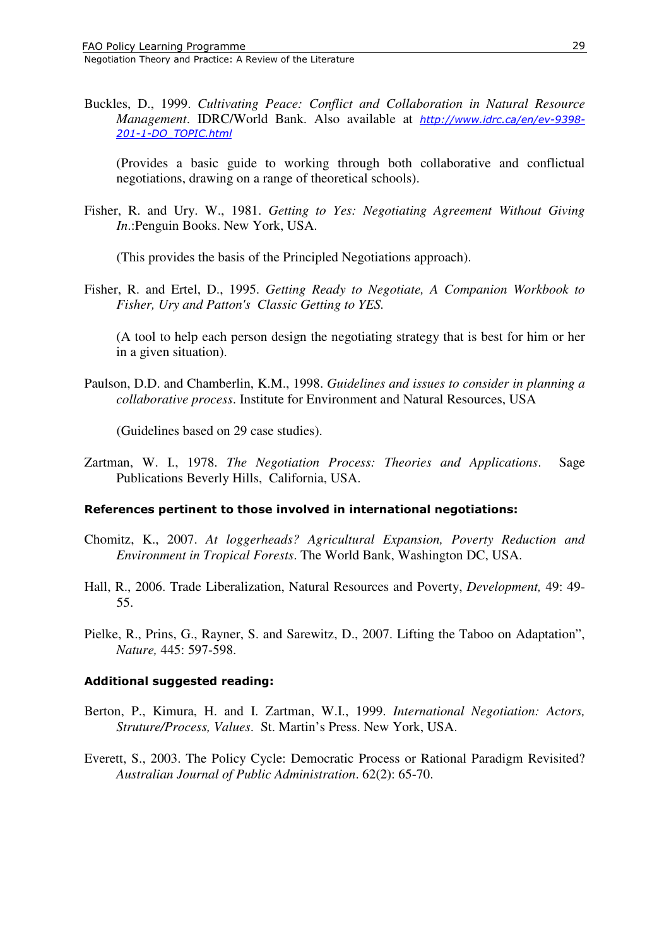Buckles, D., 1999. *Cultivating Peace: Conflict and Collaboration in Natural Resource Management*. IDRC/World Bank. Also available at http://www.idrc.ca/en/ev-9398- 201-1-DO\_TOPIC.html

 (Provides a basic guide to working through both collaborative and conflictual negotiations, drawing on a range of theoretical schools).

Fisher, R. and Ury. W., 1981. *Getting to Yes: Negotiating Agreement Without Giving In*.:Penguin Books. New York, USA.

(This provides the basis of the Principled Negotiations approach).

Fisher, R. and Ertel, D., 1995. *Getting Ready to Negotiate, A Companion Workbook to Fisher, Ury and Patton's Classic Getting to YES.* 

(A tool to help each person design the negotiating strategy that is best for him or her in a given situation).

Paulson, D.D. and Chamberlin, K.M., 1998. *Guidelines and issues to consider in planning a collaborative process*. Institute for Environment and Natural Resources, USA

(Guidelines based on 29 case studies).

Zartman, W. I., 1978. *The Negotiation Process: Theories and Applications*. Sage Publications Beverly Hills, California, USA.

#### References pertinent to those involved in international negotiations:

- Chomitz, K., 2007. *At loggerheads? Agricultural Expansion, Poverty Reduction and Environment in Tropical Forests*. The World Bank, Washington DC, USA.
- Hall, R., 2006. Trade Liberalization, Natural Resources and Poverty, *Development,* 49: 49- 55.
- Pielke, R., Prins, G., Rayner, S. and Sarewitz, D., 2007. Lifting the Taboo on Adaptation", *Nature,* 445: 597-598.

#### Additional suggested reading:

- Berton, P., Kimura, H. and I. Zartman, W.I., 1999. *International Negotiation: Actors, Struture/Process, Values*. St. Martin's Press. New York, USA.
- Everett, S., 2003. The Policy Cycle: Democratic Process or Rational Paradigm Revisited? *Australian Journal of Public Administration*. 62(2): 65-70.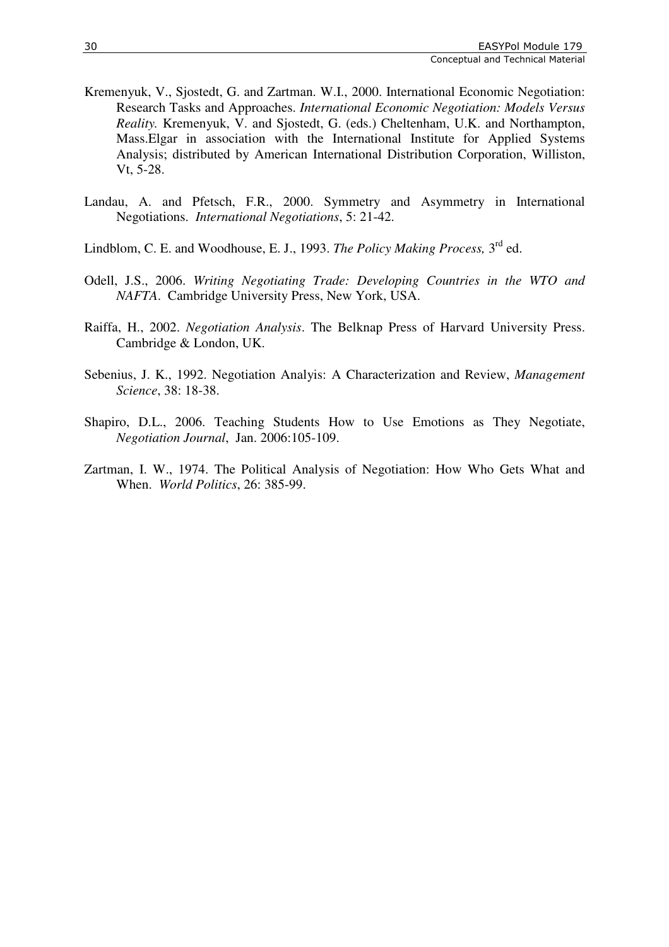- Kremenyuk, V., Sjostedt, G. and Zartman. W.I., 2000. International Economic Negotiation: Research Tasks and Approaches. *International Economic Negotiation: Models Versus Reality.* Kremenyuk, V. and Sjostedt, G. (eds.) Cheltenham, U.K. and Northampton, Mass.Elgar in association with the International Institute for Applied Systems Analysis; distributed by American International Distribution Corporation, Williston, Vt, 5-28.
- Landau, A. and Pfetsch, F.R., 2000. Symmetry and Asymmetry in International Negotiations. *International Negotiations*, 5: 21-42.
- Lindblom, C. E. and Woodhouse, E. J., 1993. *The Policy Making Process*, 3<sup>rd</sup> ed.
- Odell, J.S., 2006. *Writing Negotiating Trade: Developing Countries in the WTO and NAFTA*. Cambridge University Press, New York, USA.
- Raiffa, H., 2002. *Negotiation Analysis*. The Belknap Press of Harvard University Press. Cambridge & London, UK.
- Sebenius, J. K., 1992. Negotiation Analyis: A Characterization and Review, *Management Science*, 38: 18-38.
- Shapiro, D.L., 2006. Teaching Students How to Use Emotions as They Negotiate, *Negotiation Journal*, Jan. 2006:105-109.
- Zartman, I. W., 1974. The Political Analysis of Negotiation: How Who Gets What and When. *World Politics*, 26: 385-99.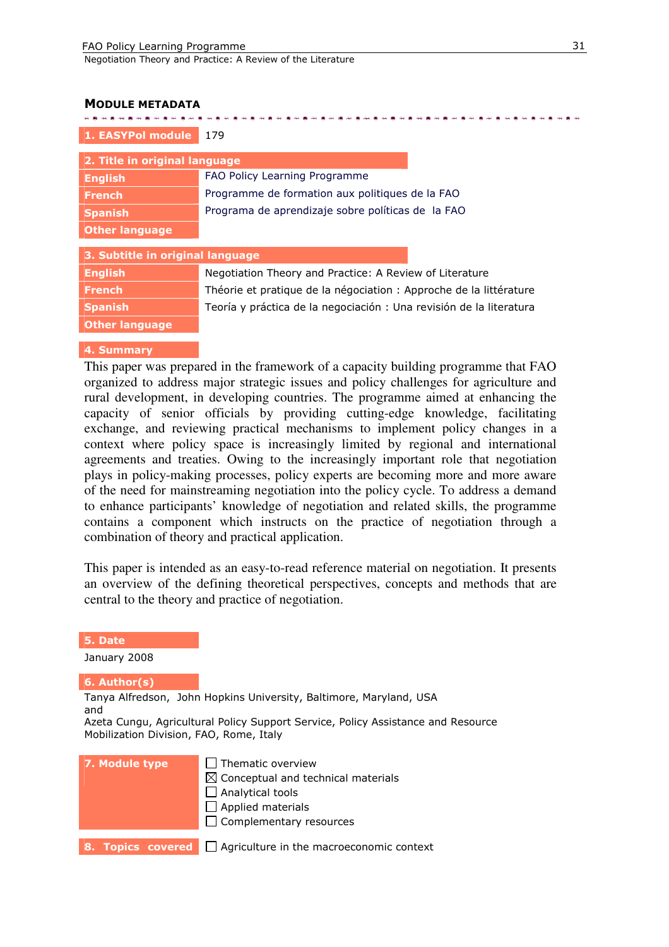. . . . . . . . . . . . . . . . . .

Negotiation Theory and Practice: A Review of the Literature

#### MODULE METADATA

| 1. EASYPol module                | 179                                                                |  |  |  |
|----------------------------------|--------------------------------------------------------------------|--|--|--|
| 2. Title in original language    |                                                                    |  |  |  |
| <b>English</b>                   | FAO Policy Learning Programme                                      |  |  |  |
| <b>French</b>                    | Programme de formation aux politiques de la FAO                    |  |  |  |
| <b>Spanish</b>                   | Programa de aprendizaje sobre políticas de la FAO                  |  |  |  |
| <b>Other language</b>            |                                                                    |  |  |  |
| 3. Subtitle in original language |                                                                    |  |  |  |
| <b>English</b>                   | Negotiation Theory and Practice: A Review of Literature            |  |  |  |
| <b>French</b>                    | Théorie et pratique de la négociation : Approche de la littérature |  |  |  |
| <b>Spanish</b>                   | Teoría y práctica de la negociación: Una revisión de la literatura |  |  |  |
| <b>Other language</b>            |                                                                    |  |  |  |
|                                  |                                                                    |  |  |  |

医心房心房心房心房心房心房心房心房心房心房心房心房心房心房心房心房心房心房心

#### 4. Summary

This paper was prepared in the framework of a capacity building programme that FAO organized to address major strategic issues and policy challenges for agriculture and rural development, in developing countries. The programme aimed at enhancing the capacity of senior officials by providing cutting-edge knowledge, facilitating exchange, and reviewing practical mechanisms to implement policy changes in a context where policy space is increasingly limited by regional and international agreements and treaties. Owing to the increasingly important role that negotiation plays in policy-making processes, policy experts are becoming more and more aware of the need for mainstreaming negotiation into the policy cycle. To address a demand to enhance participants' knowledge of negotiation and related skills, the programme contains a component which instructs on the practice of negotiation through a combination of theory and practical application.

This paper is intended as an easy-to-read reference material on negotiation. It presents an overview of the defining theoretical perspectives, concepts and methods that are central to the theory and practice of negotiation.

#### 5. Date

January 2008

#### 6. Author(s)

Tanya Alfredson, John Hopkins University, Baltimore, Maryland, USA and

Azeta Cungu, Agricultural Policy Support Service, Policy Assistance and Resource Mobilization Division, FAO, Rome, Italy